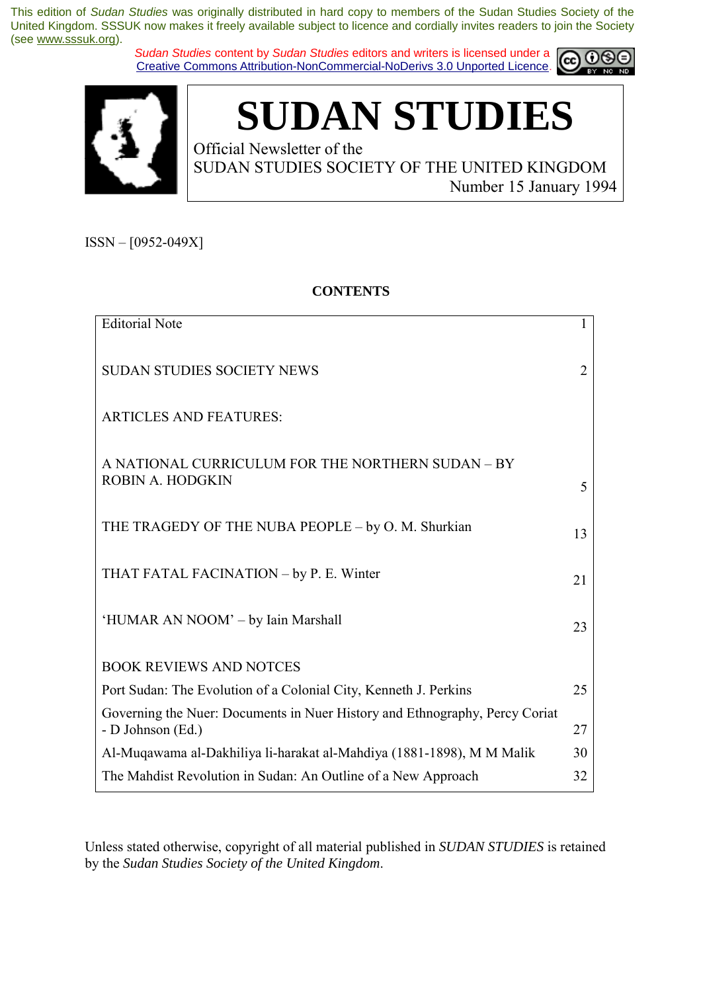*Sudan Studies* content by *Sudan Studies* editors and writers is licensed under a Creative Commons Attribution-NonCommercial-NoDerivs 3.0 Unported Licence.





# **SUDAN STUDIES**

Official Newsletter of the SUDAN STUDIES SOCIETY OF THE UNITED KINGDOM Number 15 January 1994

 $ISSN - [0952-049X]$ 

### **CONTENTS**

| <b>Editorial Note</b>                                                                            | 1  |
|--------------------------------------------------------------------------------------------------|----|
| <b>SUDAN STUDIES SOCIETY NEWS</b>                                                                | 2  |
| <b>ARTICLES AND FEATURES:</b>                                                                    |    |
| A NATIONAL CURRICULUM FOR THE NORTHERN SUDAN - BY<br>ROBIN A. HODGKIN                            | 5  |
| THE TRAGEDY OF THE NUBA PEOPLE - by O. M. Shurkian                                               | 13 |
| THAT FATAL FACINATION - by P. E. Winter                                                          | 21 |
| 'HUMAR AN NOOM' – by Iain Marshall                                                               | 23 |
| <b>BOOK REVIEWS AND NOTCES</b>                                                                   |    |
| Port Sudan: The Evolution of a Colonial City, Kenneth J. Perkins                                 | 25 |
| Governing the Nuer: Documents in Nuer History and Ethnography, Percy Coriat<br>- D Johnson (Ed.) | 27 |
| Al-Muqawama al-Dakhiliya li-harakat al-Mahdiya (1881-1898), M M Malik                            | 30 |
| The Mahdist Revolution in Sudan: An Outline of a New Approach                                    | 32 |

Unless stated otherwise, copyright of all material published in *SUDAN STUDIES* is retained by the *Sudan Studies Society of the United Kingdom*.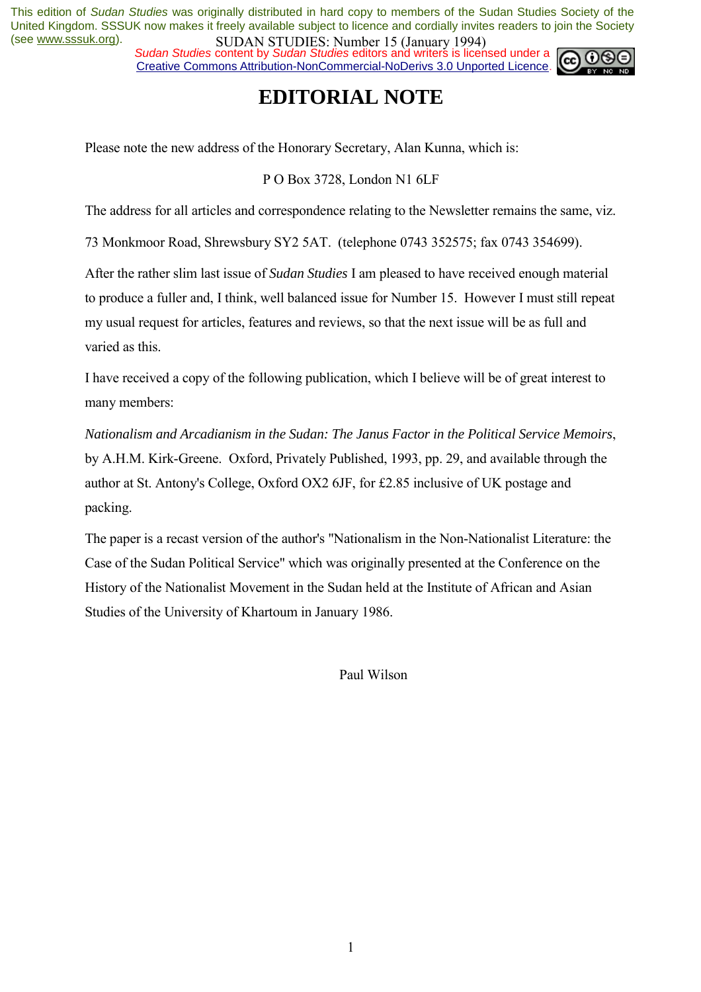*Sudan Studies* content by *Sudan Studies* editors and writers is licensed under a Creative Commons Attribution-NonCommercial-NoDerivs 3.0 Unported Licence.

### **EDITORIAL NOTE**

Please note the new address of the Honorary Secretary, Alan Kunna, which is:

P O Box 3728, London N1 6LF

The address for all articles and correspondence relating to the Newsletter remains the same, viz.

73 Monkmoor Road, Shrewsbury SY2 5AT. (telephone 0743 352575; fax 0743 354699).

After the rather slim last issue of *Sudan Studies* I am pleased to have received enough material to produce a fuller and, I think, well balanced issue for Number 15. However I must still repeat my usual request for articles, features and reviews, so that the next issue will be as full and varied as this.

I have received a copy of the following publication, which I believe will be of great interest to many members:

*Nationalism and Arcadianism in the Sudan: The Janus Factor in the Political Service Memoirs*, by A.H.M. Kirk-Greene. Oxford, Privately Published, 1993, pp. 29, and available through the author at St. Antony's College, Oxford OX2 6JF, for £2.85 inclusive of UK postage and packing.

The paper is a recast version of the author's "Nationalism in the Non-Nationalist Literature: the Case of the Sudan Political Service" which was originally presented at the Conference on the History of the Nationalist Movement in the Sudan held at the Institute of African and Asian Studies of the University of Khartoum in January 1986.

Paul Wilson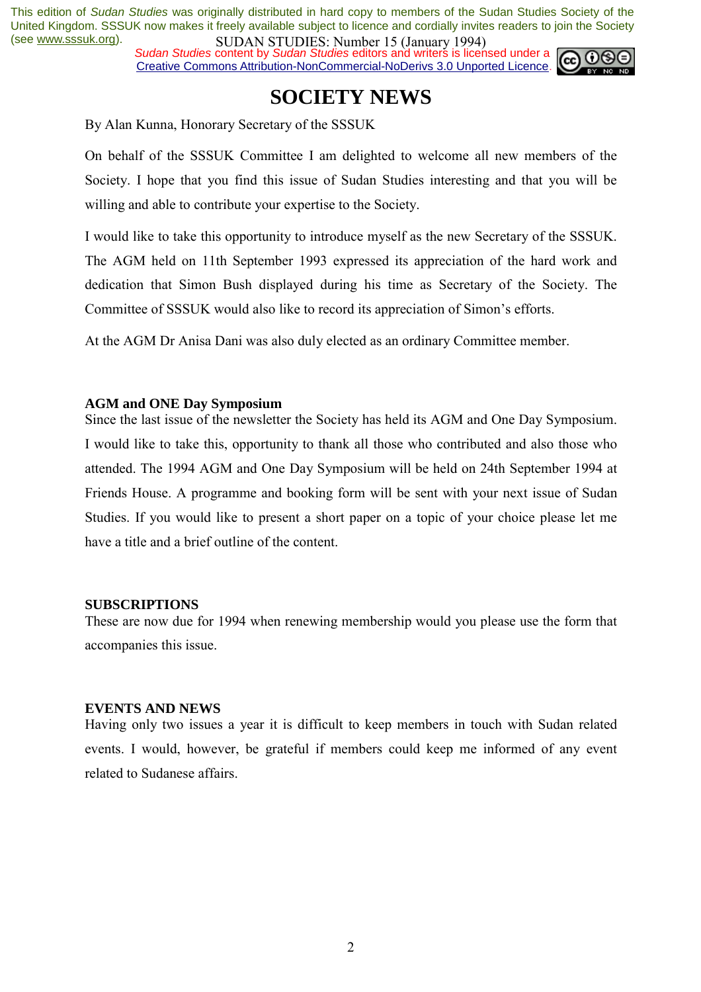*Sudan Studies* content by *Sudan Studies* editors and writers is licensed under a Creative Commons Attribution-NonCommercial-NoDerivs 3.0 Unported Licence.



### **SOCIETY NEWS**

By Alan Kunna, Honorary Secretary of the SSSUK

On behalf of the SSSUK Committee I am delighted to welcome all new members of the Society. I hope that you find this issue of Sudan Studies interesting and that you will be willing and able to contribute your expertise to the Society.

I would like to take this opportunity to introduce myself as the new Secretary of the SSSUK. The AGM held on 11th September 1993 expressed its appreciation of the hard work and dedication that Simon Bush displayed during his time as Secretary of the Society. The Committee of SSSUK would also like to record its appreciation of Simon's efforts.

At the AGM Dr Anisa Dani was also duly elected as an ordinary Committee member.

### **AGM and ONE Day Symposium**

Since the last issue of the newsletter the Society has held its AGM and One Day Symposium. I would like to take this, opportunity to thank all those who contributed and also those who attended. The 1994 AGM and One Day Symposium will be held on 24th September 1994 at Friends House. A programme and booking form will be sent with your next issue of Sudan Studies. If you would like to present a short paper on a topic of your choice please let me have a title and a brief outline of the content.

#### **SUBSCRIPTIONS**

These are now due for 1994 when renewing membership would you please use the form that accompanies this issue.

#### **EVENTS AND NEWS**

Having only two issues a year it is difficult to keep members in touch with Sudan related events. I would, however, be grateful if members could keep me informed of any event related to Sudanese affairs.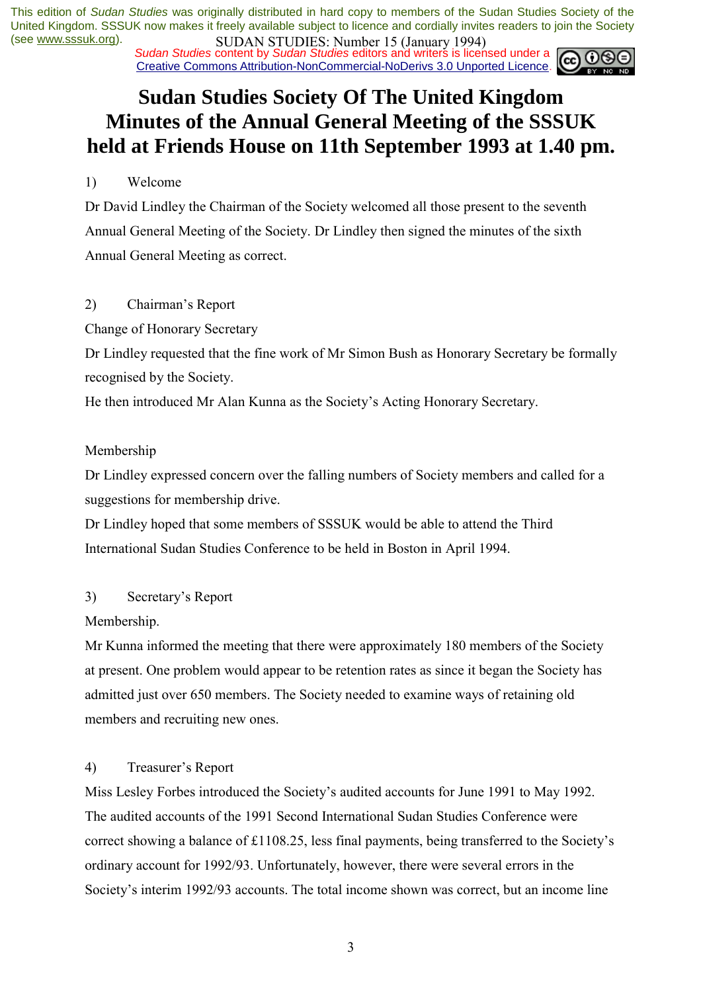*Sudan Studies* content by *Sudan Studies* editors and writers is licensed under a Creative Commons Attribution-NonCommercial-NoDerivs 3.0 Unported Licence.

## **Sudan Studies Society Of The United Kingdom Minutes of the Annual General Meeting of the SSSUK held at Friends House on 11th September 1993 at 1.40 pm.**

### 1) Welcome

Dr David Lindley the Chairman of the Society welcomed all those present to the seventh Annual General Meeting of the Society. Dr Lindley then signed the minutes of the sixth Annual General Meeting as correct.

### 2) Chairman's Report

Change of Honorary Secretary

Dr Lindley requested that the fine work of Mr Simon Bush as Honorary Secretary be formally recognised by the Society.

He then introduced Mr Alan Kunna as the Society's Acting Honorary Secretary.

### Membership

Dr Lindley expressed concern over the falling numbers of Society members and called for a suggestions for membership drive.

Dr Lindley hoped that some members of SSSUK would be able to attend the Third International Sudan Studies Conference to be held in Boston in April 1994.

### 3) Secretary's Report

Membership.

Mr Kunna informed the meeting that there were approximately 180 members of the Society at present. One problem would appear to be retention rates as since it began the Society has admitted just over 650 members. The Society needed to examine ways of retaining old members and recruiting new ones.

### 4) Treasurer's Report

Miss Lesley Forbes introduced the Society's audited accounts for June 1991 to May 1992. The audited accounts of the 1991 Second International Sudan Studies Conference were correct showing a balance of  $£1108.25$ , less final payments, being transferred to the Society's ordinary account for 1992/93. Unfortunately, however, there were several errors in the Society's interim 1992/93 accounts. The total income shown was correct, but an income line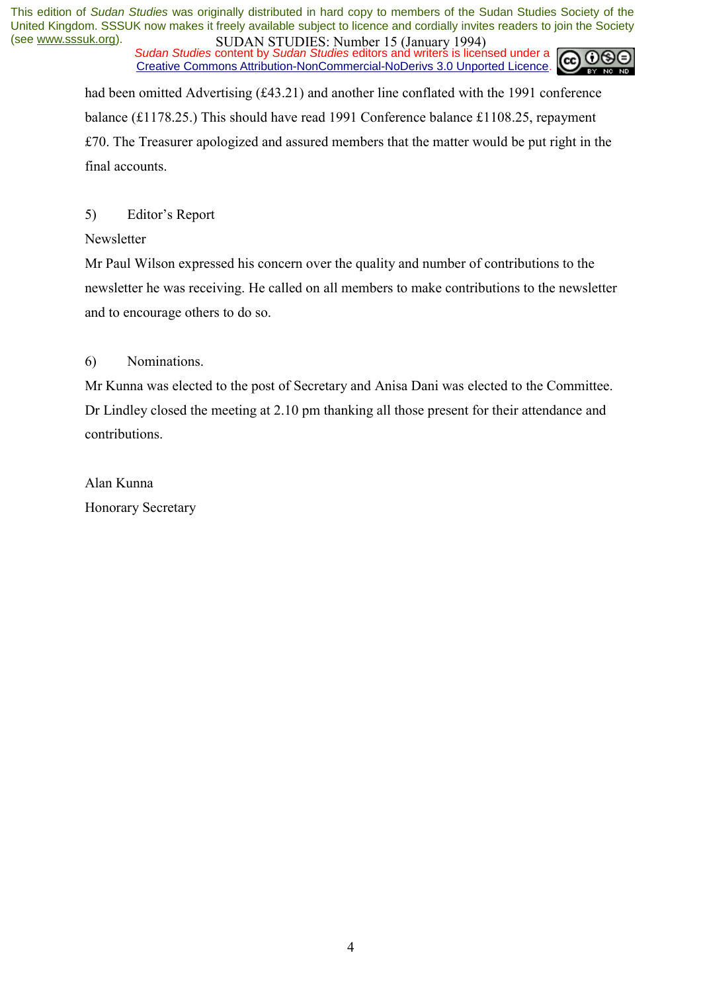*Sudan Studies* content by *Sudan Studies* editors and writers is licensed under a Creative Commons Attribution-NonCommercial-NoDerivs 3.0 Unported Licence.



had been omitted Advertising (£43.21) and another line conflated with the 1991 conference balance (£1178.25.) This should have read 1991 Conference balance £1108.25, repayment £70. The Treasurer apologized and assured members that the matter would be put right in the final accounts.

### 5) Editor's Report

Newsletter

Mr Paul Wilson expressed his concern over the quality and number of contributions to the newsletter he was receiving. He called on all members to make contributions to the newsletter and to encourage others to do so.

### 6) Nominations.

Mr Kunna was elected to the post of Secretary and Anisa Dani was elected to the Committee. Dr Lindley closed the meeting at 2.10 pm thanking all those present for their attendance and contributions.

Alan Kunna Honorary Secretary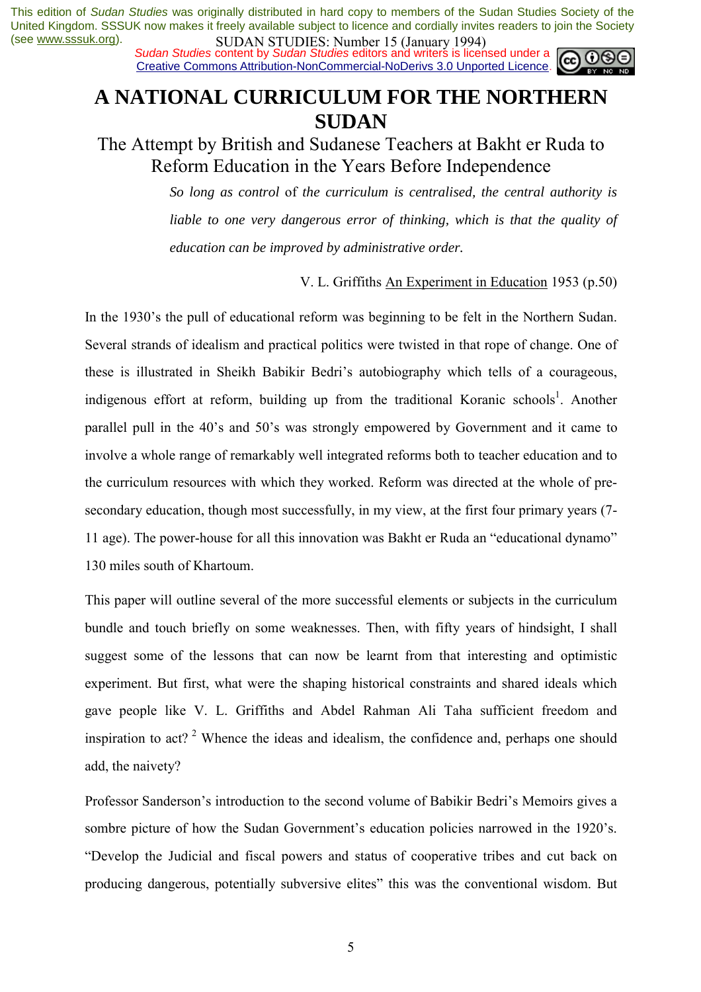*Sudan Studies* content by *Sudan Studies* editors and writers is licensed under a Creative Commons Attribution-NonCommercial-NoDerivs 3.0 Unported Licence.



### **A NATIONAL CURRICULUM FOR THE NORTHERN SUDAN**

The Attempt by British and Sudanese Teachers at Bakht er Ruda to Reform Education in the Years Before Independence

> *So long as control* of *the curriculum is centralised, the central authority is liable to one very dangerous error of thinking, which is that the quality of education can be improved by administrative order.*

> > V. L. Griffiths An Experiment in Education 1953 (p.50)

In the 1930's the pull of educational reform was beginning to be felt in the Northern Sudan. Several strands of idealism and practical politics were twisted in that rope of change. One of these is illustrated in Sheikh Babikir Bedri's autobiography which tells of a courageous, indigenous effort at reform, building up from the traditional Koranic schools<sup>1</sup>. Another parallel pull in the 40's and 50's was strongly empowered by Government and it came to involve a whole range of remarkably well integrated reforms both to teacher education and to the curriculum resources with which they worked. Reform was directed at the whole of presecondary education, though most successfully, in my view, at the first four primary years (7- 11 age). The power-house for all this innovation was Bakht er Ruda an "educational dynamo" 130 miles south of Khartoum.

This paper will outline several of the more successful elements or subjects in the curriculum bundle and touch briefly on some weaknesses. Then, with fifty years of hindsight, I shall suggest some of the lessons that can now be learnt from that interesting and optimistic experiment. But first, what were the shaping historical constraints and shared ideals which gave people like V. L. Griffiths and Abdel Rahman Ali Taha sufficient freedom and inspiration to act?  $2^{\circ}$  Whence the ideas and idealism, the confidence and, perhaps one should add, the naivety?

Professor Sanderson's introduction to the second volume of Babikir Bedri's Memoirs gives a sombre picture of how the Sudan Government's education policies narrowed in the 1920's. ìDevelop the Judicial and fiscal powers and status of cooperative tribes and cut back on producing dangerous, potentially subversive elites" this was the conventional wisdom. But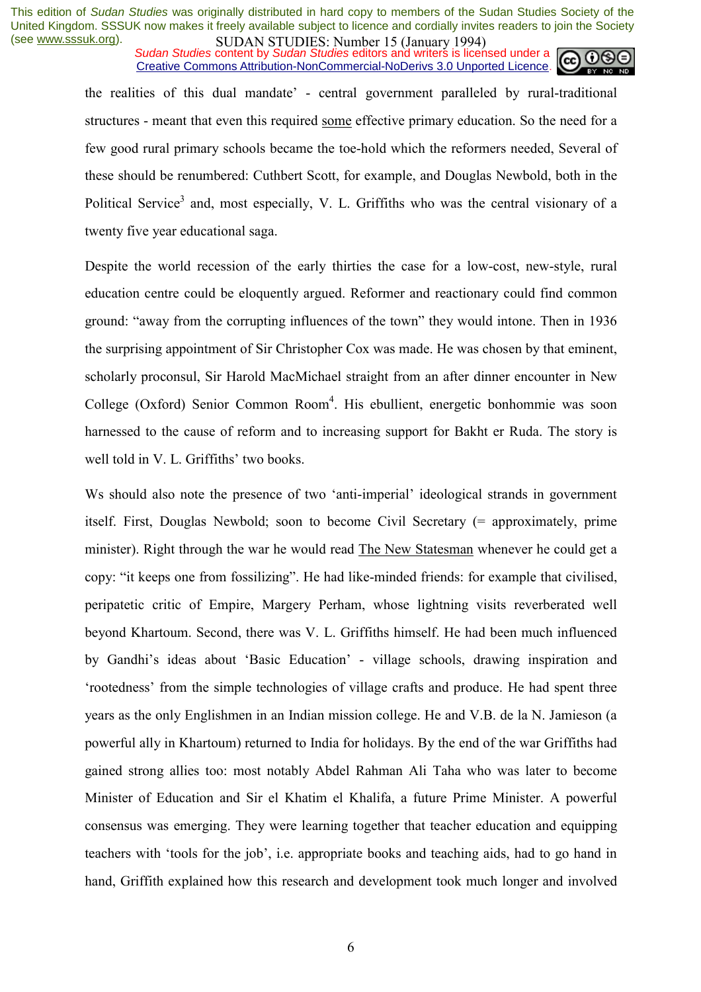*Sudan Studies* content by *Sudan Studies* editors and writers is licensed under a Creative Commons Attribution-NonCommercial-NoDerivs 3.0 Unported Licence.



the realities of this dual mandate<sup>2</sup> - central government paralleled by rural-traditional structures - meant that even this required some effective primary education. So the need for a few good rural primary schools became the toe-hold which the reformers needed, Several of these should be renumbered: Cuthbert Scott, for example, and Douglas Newbold, both in the Political Service<sup>3</sup> and, most especially, V. L. Griffiths who was the central visionary of a twenty five year educational saga.

Despite the world recession of the early thirties the case for a low-cost, new-style, rural education centre could be eloquently argued. Reformer and reactionary could find common ground: "away from the corrupting influences of the town" they would intone. Then in 1936 the surprising appointment of Sir Christopher Cox was made. He was chosen by that eminent, scholarly proconsul, Sir Harold MacMichael straight from an after dinner encounter in New College (Oxford) Senior Common Room<sup>4</sup>. His ebullient, energetic bonhommie was soon harnessed to the cause of reform and to increasing support for Bakht er Ruda. The story is well told in V. L. Griffiths' two books.

Ws should also note the presence of two 'anti-imperial' ideological strands in government itself. First, Douglas Newbold; soon to become Civil Secretary (= approximately, prime minister). Right through the war he would read The New Statesman whenever he could get a copy: "it keeps one from fossilizing". He had like-minded friends: for example that civilised, peripatetic critic of Empire, Margery Perham, whose lightning visits reverberated well beyond Khartoum. Second, there was V. L. Griffiths himself. He had been much influenced by Gandhi's ideas about 'Basic Education' - village schools, drawing inspiration and ërootednessí from the simple technologies of village crafts and produce. He had spent three years as the only Englishmen in an Indian mission college. He and V.B. de la N. Jamieson (a powerful ally in Khartoum) returned to India for holidays. By the end of the war Griffiths had gained strong allies too: most notably Abdel Rahman Ali Taha who was later to become Minister of Education and Sir el Khatim el Khalifa, a future Prime Minister. A powerful consensus was emerging. They were learning together that teacher education and equipping teachers with 'tools for the job', i.e. appropriate books and teaching aids, had to go hand in hand, Griffith explained how this research and development took much longer and involved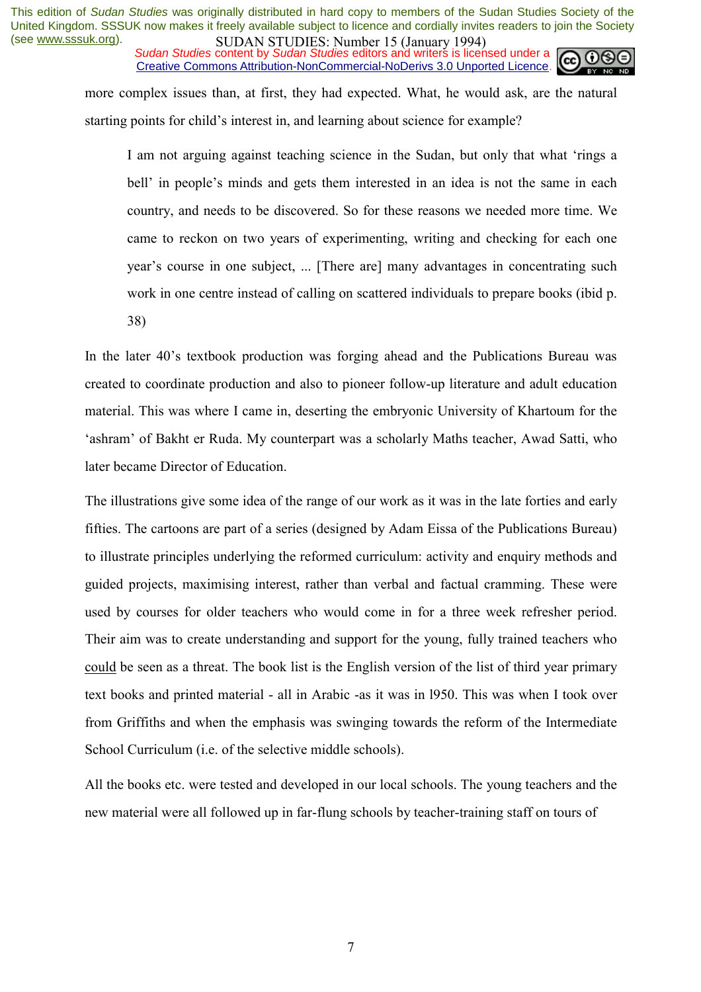*Sudan Studies* content by *Sudan Studies* editors and writers is licensed under a Creative Commons Attribution-NonCommercial-NoDerivs 3.0 Unported Licence.



more complex issues than, at first, they had expected. What, he would ask, are the natural starting points for child's interest in, and learning about science for example?

I am not arguing against teaching science in the Sudan, but only that what ërings a bell' in people's minds and gets them interested in an idea is not the same in each country, and needs to be discovered. So for these reasons we needed more time. We came to reckon on two years of experimenting, writing and checking for each one year's course in one subject, ... [There are] many advantages in concentrating such work in one centre instead of calling on scattered individuals to prepare books (ibid p. 38)

In the later 40's textbook production was forging ahead and the Publications Bureau was created to coordinate production and also to pioneer follow-up literature and adult education material. This was where I came in, deserting the embryonic University of Khartoum for the ëashramí of Bakht er Ruda. My counterpart was a scholarly Maths teacher, Awad Satti, who later became Director of Education.

The illustrations give some idea of the range of our work as it was in the late forties and early fifties. The cartoons are part of a series (designed by Adam Eissa of the Publications Bureau) to illustrate principles underlying the reformed curriculum: activity and enquiry methods and guided projects, maximising interest, rather than verbal and factual cramming. These were used by courses for older teachers who would come in for a three week refresher period. Their aim was to create understanding and support for the young, fully trained teachers who could be seen as a threat. The book list is the English version of the list of third year primary text books and printed material - all in Arabic -as it was in l950. This was when I took over from Griffiths and when the emphasis was swinging towards the reform of the Intermediate School Curriculum (i.e. of the selective middle schools).

All the books etc. were tested and developed in our local schools. The young teachers and the new material were all followed up in far-flung schools by teacher-training staff on tours of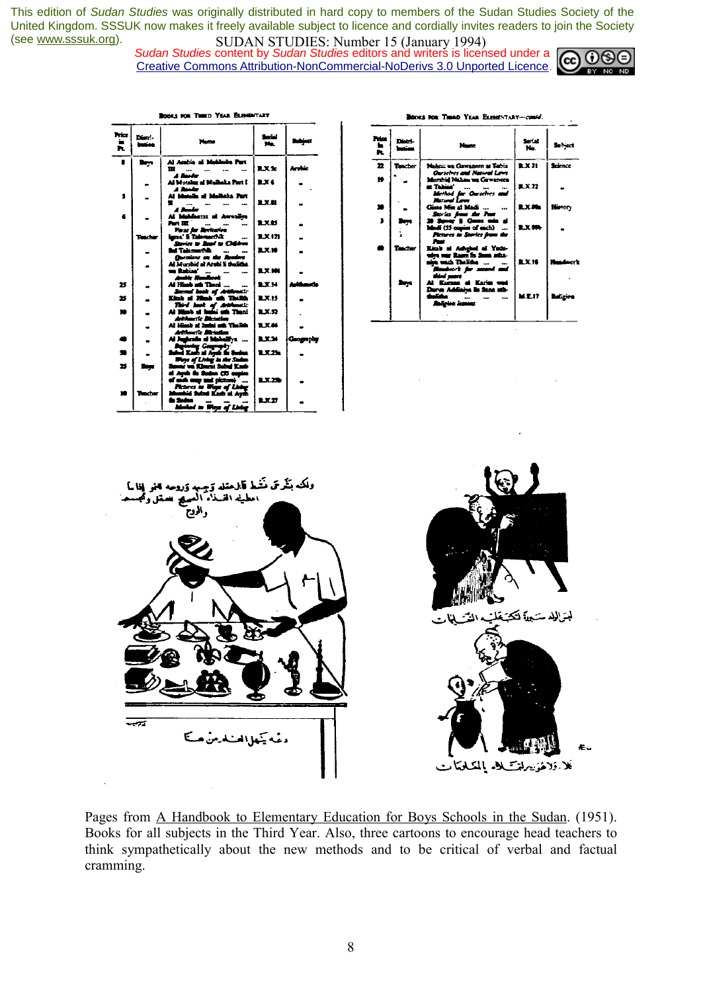*Sudan Studies* content by *Sudan Studies* editors and writers is licensed under a Creative Commons Attribution-NonCommercial-NoDerivs 3.0 Unported Licence.



| hiz<br>٠<br>Þ. | Distri-<br>imien | <b>Nome</b>                                                                         | <b>Series</b><br>No. |              |
|----------------|------------------|-------------------------------------------------------------------------------------|----------------------|--------------|
|                | Rega             | Al Ambia al Makhuba Part<br>ш<br>ماعدة ال                                           | <b>RXS:</b>          | <b>Armie</b> |
|                | $\bullet$        | Al Motaine at Mulhaka Part I<br>مقصال اد                                            | <b>RX6</b>           |              |
| \$             |                  | Al Mondia of McData Part<br>$\ddotsc$<br>A Buda                                     | 2.X.SI               |              |
| 6              |                  | Al Mahhazit al Awaliya<br>Part 192                                                  | LXU                  |              |
|                | Teacher          | <b>Yazz far Becharine</b><br>lgra' li Talementik.<br><br>Suries to Read to Children | RX 121               |              |
|                |                  | <b>Ad Takenethic</b><br><b>Ourning on the Realest</b>                               | <b>B.X.18</b>        |              |
|                |                  | Al Murshid al Arabi li theliths.<br>un Rabian'<br>$\overline{\phantom{a}}$          | <b>BLX.101</b>       |              |
| 25             |                  | Andic Handlook<br>Al Històric Thank<br>Second book of Arkheestic                    | <b>BXH</b>           | واست         |
| 25             |                  | Kinh at Hims and The Ric                                                            | <b>BLX.15</b>        |              |
| ÷.             |                  | - Third hook of Antibootic<br>Al Himb at Impiri wit Thank<br>Artifuserte Distation  | <b>RX.52</b>         |              |
|                |                  | At Himb at Inda ad Their<br>Artikaari's Masadon                                     | 1.XA                 |              |
| ä              | -                | Al Judenie al Mobalitz<br><b>Aurents: Georgia</b>                                   | 9.37.36              | Geography    |
| $\bullet$      |                  | Subai Kari al Ayak da Sudan<br>Weye of Living in the Sudan                          | <b>LX.25</b>         |              |
| 25             |                  | Sanna va Kluum Sabul Kasb<br>al Aydı ilə Sudan (25 capia:                           |                      |              |
|                |                  | of said map and picture)<br>Pictures to Wage of Links                               | <b>LX25</b>          |              |
|                | Rucher           | Munhid Suind Kash at Aysh<br>in Suize<br>ذا ابر سوال به استعلا                      | <b>LXIT</b>          |              |

kon Third Year Elementary

| ROOKS FOR THERD YEAR ELEMENTARY-comed. |                  |                                                                                                                            |                                      |                   |
|----------------------------------------|------------------|----------------------------------------------------------------------------------------------------------------------------|--------------------------------------|-------------------|
| Price .<br>$\ddot{\bm{x}}$             | Distri-<br>سنهرز | Name                                                                                                                       | Serial<br>No.                        | Sebject           |
| 22                                     | Texcher          | Nahan wa Gawaneen at Tabia<br>Ourselves and Natural Laws                                                                   | <b>R.X.21</b>                        | Science           |
| 19                                     |                  | <b>Murshid Nahau wa Gawancea</b><br><b>at Tabias'</b><br>$\ddotsc$<br>Method for Ourselves and<br><b>January Laws</b>      | $\mathbf{R} \mathbf{X}$ $\mathbf{Z}$ |                   |
| m                                      |                  | Gines Min at Madi                                                                                                          | <b>BLX.Ma</b>                        | <b>History</b>    |
| ı                                      | haya.            | Stories from the Past<br>20 Sever 5 Genu und al<br>Modi (55 copies of each)<br><i>Fictures to Stories from the</i><br>Pw.  | <b>R.X.80b</b>                       |                   |
|                                        | lecter           | Kitab al Ashehel al Yada-<br>wire war Room in Samt stins-<br>aije wazh Thalishe<br>Mandrott for second and<br>about supers | <b>R.X.18</b>                        | <b>Headquarts</b> |
|                                        | by.              | Al Kursas el Karim wed<br>Dura Addisiva in Sans ath-<br>مختلط<br>$\overline{\phantom{a}}$<br>سندرة منابقتال                | <b>M.E.IT</b>                        | بمتعقلة           |



Pages from A Handbook to Elementary Education for Boys Schools in the Sudan. (1951). Books for all subjects in the Third Year. Also, three cartoons to encourage head teachers to think sympathetically about the new methods and to be critical of verbal and factual cramming.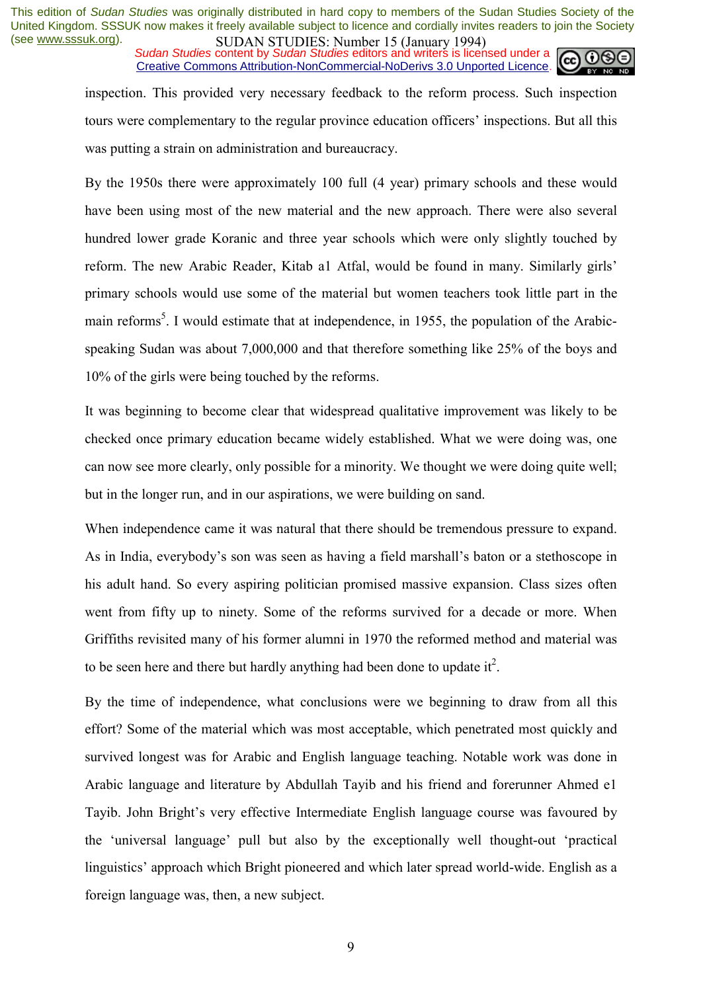*Sudan Studies* content by *Sudan Studies* editors and writers is licensed under a Creative Commons Attribution-NonCommercial-NoDerivs 3.0 Unported Licence.



inspection. This provided very necessary feedback to the reform process. Such inspection tours were complementary to the regular province education officers' inspections. But all this was putting a strain on administration and bureaucracy.

By the 1950s there were approximately 100 full (4 year) primary schools and these would have been using most of the new material and the new approach. There were also several hundred lower grade Koranic and three year schools which were only slightly touched by reform. The new Arabic Reader, Kitab a1 Atfal, would be found in many. Similarly girls' primary schools would use some of the material but women teachers took little part in the main reforms<sup>5</sup>. I would estimate that at independence, in 1955, the population of the Arabicspeaking Sudan was about 7,000,000 and that therefore something like 25% of the boys and 10% of the girls were being touched by the reforms.

It was beginning to become clear that widespread qualitative improvement was likely to be checked once primary education became widely established. What we were doing was, one can now see more clearly, only possible for a minority. We thought we were doing quite well; but in the longer run, and in our aspirations, we were building on sand.

When independence came it was natural that there should be tremendous pressure to expand. As in India, everybody's son was seen as having a field marshall's baton or a stethoscope in his adult hand. So every aspiring politician promised massive expansion. Class sizes often went from fifty up to ninety. Some of the reforms survived for a decade or more. When Griffiths revisited many of his former alumni in 1970 the reformed method and material was to be seen here and there but hardly anything had been done to update it<sup>2</sup>.

By the time of independence, what conclusions were we beginning to draw from all this effort? Some of the material which was most acceptable, which penetrated most quickly and survived longest was for Arabic and English language teaching. Notable work was done in Arabic language and literature by Abdullah Tayib and his friend and forerunner Ahmed e1 Tayib. John Bright's very effective Intermediate English language course was favoured by the 'universal language' pull but also by the exceptionally well thought-out 'practical linguistics' approach which Bright pioneered and which later spread world-wide. English as a foreign language was, then, a new subject.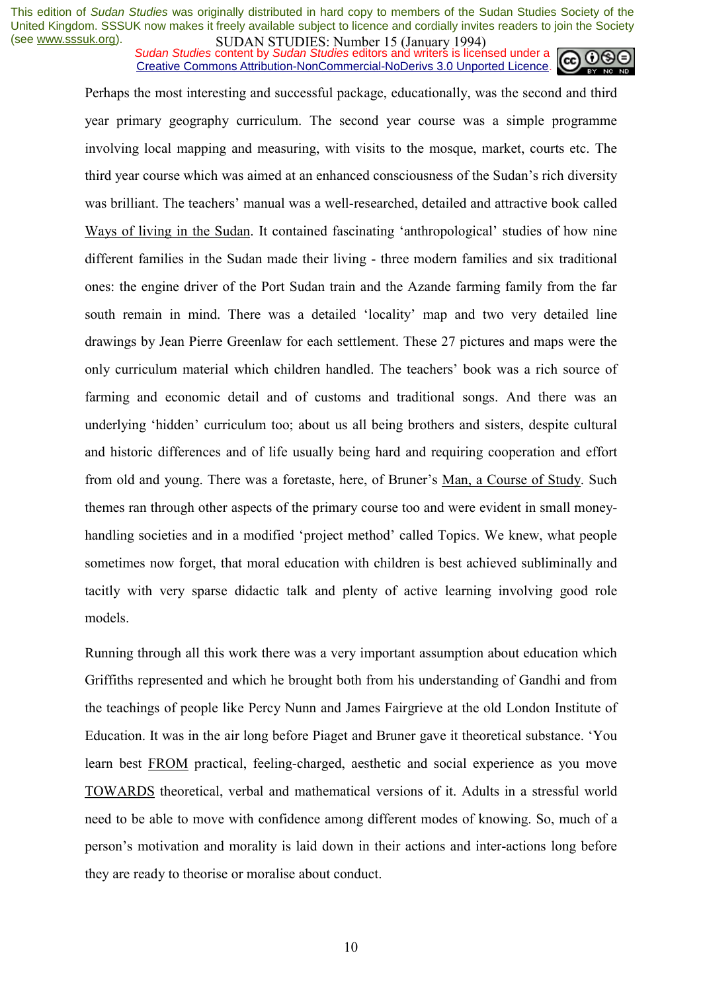*Sudan Studies* content by *Sudan Studies* editors and writers is licensed under a Creative Commons Attribution-NonCommercial-NoDerivs 3.0 Unported Licence.



Perhaps the most interesting and successful package, educationally, was the second and third year primary geography curriculum. The second year course was a simple programme involving local mapping and measuring, with visits to the mosque, market, courts etc. The third year course which was aimed at an enhanced consciousness of the Sudan's rich diversity was brilliant. The teachers' manual was a well-researched, detailed and attractive book called Ways of living in the Sudan. It contained fascinating 'anthropological' studies of how nine different families in the Sudan made their living - three modern families and six traditional ones: the engine driver of the Port Sudan train and the Azande farming family from the far south remain in mind. There was a detailed 'locality' map and two very detailed line drawings by Jean Pierre Greenlaw for each settlement. These 27 pictures and maps were the only curriculum material which children handled. The teachers' book was a rich source of farming and economic detail and of customs and traditional songs. And there was an underlying 'hidden' curriculum too; about us all being brothers and sisters, despite cultural and historic differences and of life usually being hard and requiring cooperation and effort from old and young. There was a foretaste, here, of Bruner's Man, a Course of Study. Such themes ran through other aspects of the primary course too and were evident in small moneyhandling societies and in a modified 'project method' called Topics. We knew, what people sometimes now forget, that moral education with children is best achieved subliminally and tacitly with very sparse didactic talk and plenty of active learning involving good role models.

Running through all this work there was a very important assumption about education which Griffiths represented and which he brought both from his understanding of Gandhi and from the teachings of people like Percy Nunn and James Fairgrieve at the old London Institute of Education. It was in the air long before Piaget and Bruner gave it theoretical substance. 'You learn best FROM practical, feeling-charged, aesthetic and social experience as you move TOWARDS theoretical, verbal and mathematical versions of it. Adults in a stressful world need to be able to move with confidence among different modes of knowing. So, much of a personís motivation and morality is laid down in their actions and inter-actions long before they are ready to theorise or moralise about conduct.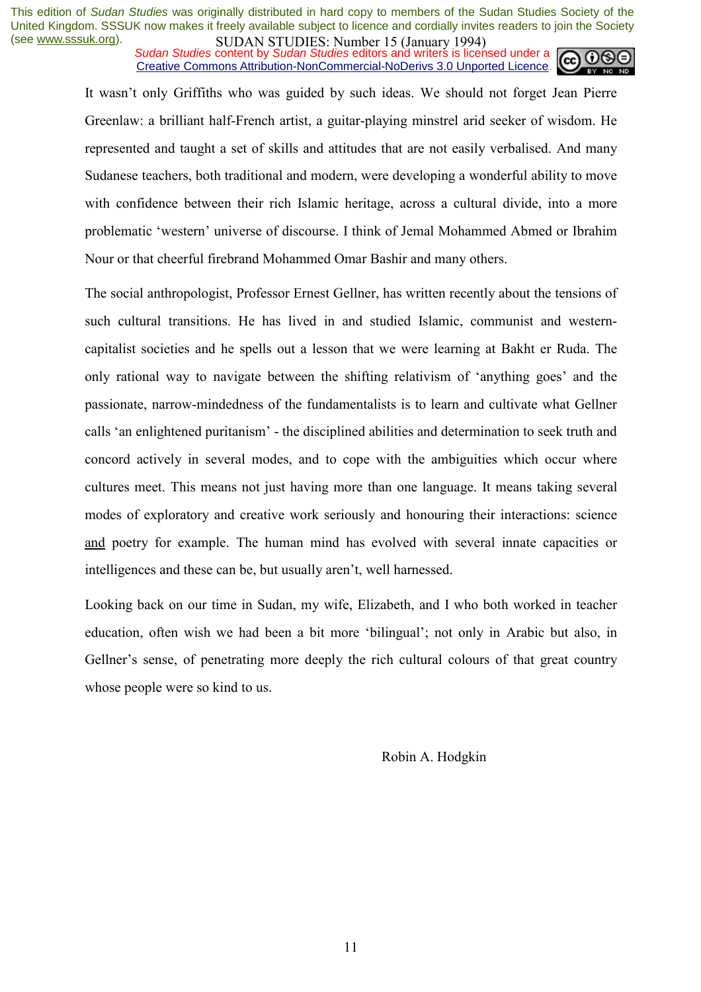*Sudan Studies* content by *Sudan Studies* editors and writers is licensed under a Creative Commons Attribution-NonCommercial-NoDerivs 3.0 Unported Licence.



It wasn't only Griffiths who was guided by such ideas. We should not forget Jean Pierre Greenlaw: a brilliant half-French artist, a guitar-playing minstrel arid seeker of wisdom. He represented and taught a set of skills and attitudes that are not easily verbalised. And many Sudanese teachers, both traditional and modern, were developing a wonderful ability to move with confidence between their rich Islamic heritage, across a cultural divide, into a more problematic 'western' universe of discourse. I think of Jemal Mohammed Abmed or Ibrahim Nour or that cheerful firebrand Mohammed Omar Bashir and many others.

The social anthropologist, Professor Ernest Gellner, has written recently about the tensions of such cultural transitions. He has lived in and studied Islamic, communist and westerncapitalist societies and he spells out a lesson that we were learning at Bakht er Ruda. The only rational way to navigate between the shifting relativism of 'anything goes' and the passionate, narrow-mindedness of the fundamentalists is to learn and cultivate what Gellner calls 'an enlightened puritanism' - the disciplined abilities and determination to seek truth and concord actively in several modes, and to cope with the ambiguities which occur where cultures meet. This means not just having more than one language. It means taking several modes of exploratory and creative work seriously and honouring their interactions: science and poetry for example. The human mind has evolved with several innate capacities or intelligences and these can be, but usually aren't, well harnessed.

Looking back on our time in Sudan, my wife, Elizabeth, and I who both worked in teacher education, often wish we had been a bit more 'bilingual'; not only in Arabic but also, in Gellner's sense, of penetrating more deeply the rich cultural colours of that great country whose people were so kind to us.

Robin A. Hodgkin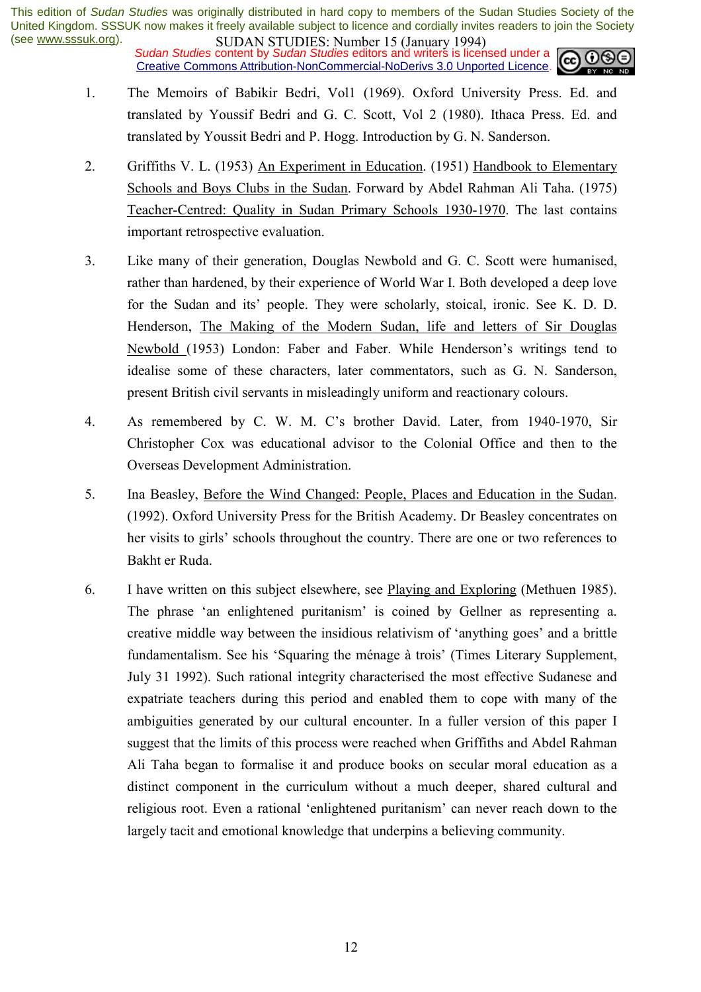*Sudan Studies* content by *Sudan Studies* editors and writers is licensed under a Creative Commons Attribution-NonCommercial-NoDerivs 3.0 Unported Licence.



- 1. The Memoirs of Babikir Bedri, Vol1 (1969). Oxford University Press. Ed. and translated by Youssif Bedri and G. C. Scott, Vol 2 (1980). Ithaca Press. Ed. and translated by Youssit Bedri and P. Hogg. Introduction by G. N. Sanderson.
- 2. Griffiths V. L. (1953) An Experiment in Education. (1951) Handbook to Elementary Schools and Boys Clubs in the Sudan. Forward by Abdel Rahman Ali Taha. (1975) Teacher-Centred: Quality in Sudan Primary Schools 1930-1970. The last contains important retrospective evaluation.
- 3. Like many of their generation, Douglas Newbold and G. C. Scott were humanised, rather than hardened, by their experience of World War I. Both developed a deep love for the Sudan and its' people. They were scholarly, stoical, ironic. See K. D. D. Henderson, The Making of the Modern Sudan, life and letters of Sir Douglas Newbold (1953) London: Faber and Faber. While Henderson's writings tend to idealise some of these characters, later commentators, such as G. N. Sanderson, present British civil servants in misleadingly uniform and reactionary colours.
- 4. As remembered by C. W. M. C's brother David. Later, from 1940-1970. Sir Christopher Cox was educational advisor to the Colonial Office and then to the Overseas Development Administration.
- 5. Ina Beasley, Before the Wind Changed: People, Places and Education in the Sudan. (1992). Oxford University Press for the British Academy. Dr Beasley concentrates on her visits to girls' schools throughout the country. There are one or two references to Bakht er Ruda.
- 6. I have written on this subject elsewhere, see Playing and Exploring (Methuen 1985). The phrase 'an enlightened puritanism' is coined by Gellner as representing a. creative middle way between the insidious relativism of 'anything goes' and a brittle fundamentalism. See his 'Squaring the ménage à trois' (Times Literary Supplement, July 31 1992). Such rational integrity characterised the most effective Sudanese and expatriate teachers during this period and enabled them to cope with many of the ambiguities generated by our cultural encounter. In a fuller version of this paper I suggest that the limits of this process were reached when Griffiths and Abdel Rahman Ali Taha began to formalise it and produce books on secular moral education as a distinct component in the curriculum without a much deeper, shared cultural and religious root. Even a rational 'enlightened puritanism' can never reach down to the largely tacit and emotional knowledge that underpins a believing community.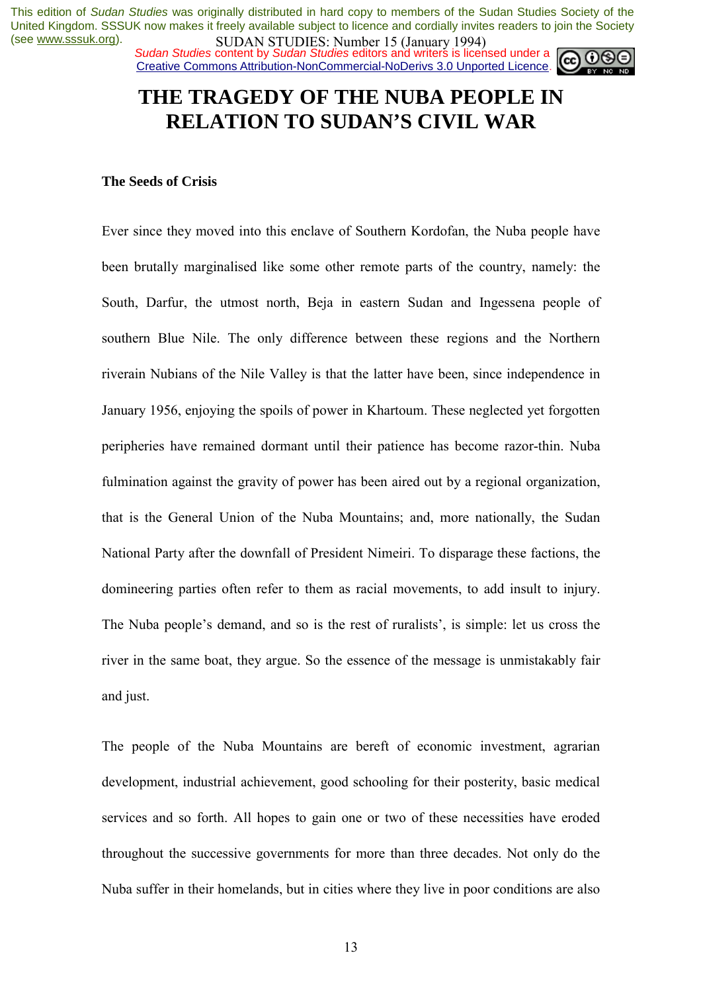*Sudan Studies* content by *Sudan Studies* editors and writers is licensed under a Creative Commons Attribution-NonCommercial-NoDerivs 3.0 Unported Licence.



### **THE TRAGEDY OF THE NUBA PEOPLE IN RELATION TO SUDAN'S CIVIL WAR**

#### **The Seeds of Crisis**

Ever since they moved into this enclave of Southern Kordofan, the Nuba people have been brutally marginalised like some other remote parts of the country, namely: the South, Darfur, the utmost north, Beja in eastern Sudan and Ingessena people of southern Blue Nile. The only difference between these regions and the Northern riverain Nubians of the Nile Valley is that the latter have been, since independence in January 1956, enjoying the spoils of power in Khartoum. These neglected yet forgotten peripheries have remained dormant until their patience has become razor-thin. Nuba fulmination against the gravity of power has been aired out by a regional organization, that is the General Union of the Nuba Mountains; and, more nationally, the Sudan National Party after the downfall of President Nimeiri. To disparage these factions, the domineering parties often refer to them as racial movements, to add insult to injury. The Nuba people's demand, and so is the rest of ruralists', is simple: let us cross the river in the same boat, they argue. So the essence of the message is unmistakably fair and just.

The people of the Nuba Mountains are bereft of economic investment, agrarian development, industrial achievement, good schooling for their posterity, basic medical services and so forth. All hopes to gain one or two of these necessities have eroded throughout the successive governments for more than three decades. Not only do the Nuba suffer in their homelands, but in cities where they live in poor conditions are also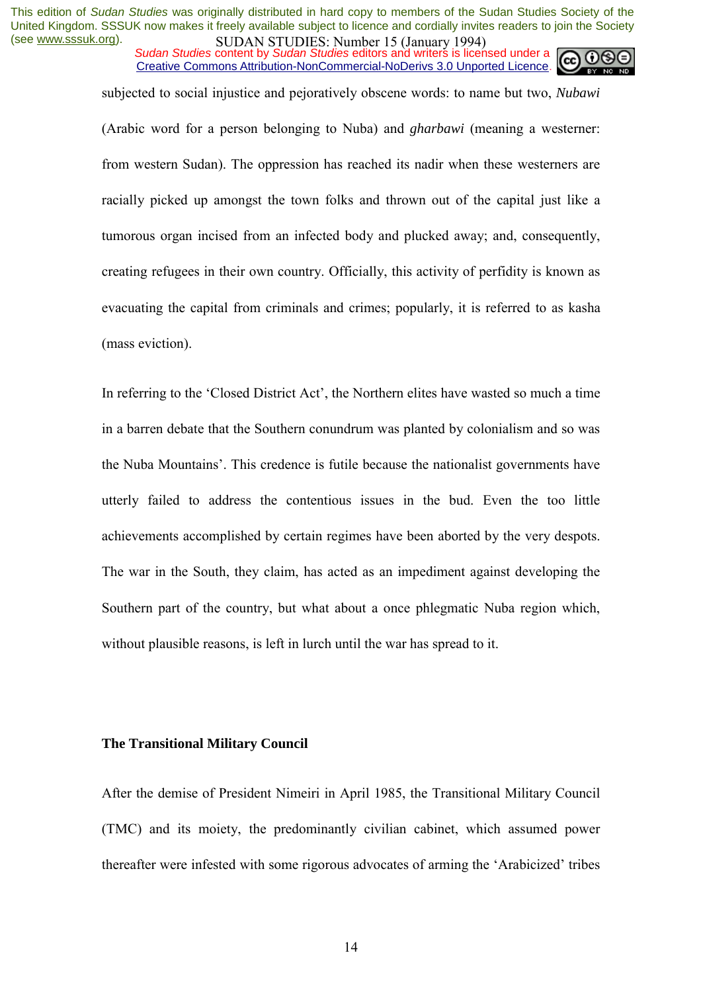*Sudan Studies* content by *Sudan Studies* editors and writers is licensed under a Creative Commons Attribution-NonCommercial-NoDerivs 3.0 Unported Licence.



subjected to social injustice and pejoratively obscene words: to name but two, *Nubawi*

(Arabic word for a person belonging to Nuba) and *gharbawi* (meaning a westerner: from western Sudan). The oppression has reached its nadir when these westerners are racially picked up amongst the town folks and thrown out of the capital just like a tumorous organ incised from an infected body and plucked away; and, consequently, creating refugees in their own country. Officially, this activity of perfidity is known as evacuating the capital from criminals and crimes; popularly, it is referred to as kasha (mass eviction).

In referring to the 'Closed District Act', the Northern elites have wasted so much a time in a barren debate that the Southern conundrum was planted by colonialism and so was the Nuba Mountains'. This credence is futile because the nationalist governments have utterly failed to address the contentious issues in the bud. Even the too little achievements accomplished by certain regimes have been aborted by the very despots. The war in the South, they claim, has acted as an impediment against developing the Southern part of the country, but what about a once phlegmatic Nuba region which, without plausible reasons, is left in lurch until the war has spread to it.

### **The Transitional Military Council**

After the demise of President Nimeiri in April 1985, the Transitional Military Council (TMC) and its moiety, the predominantly civilian cabinet, which assumed power thereafter were infested with some rigorous advocates of arming the 'Arabicized' tribes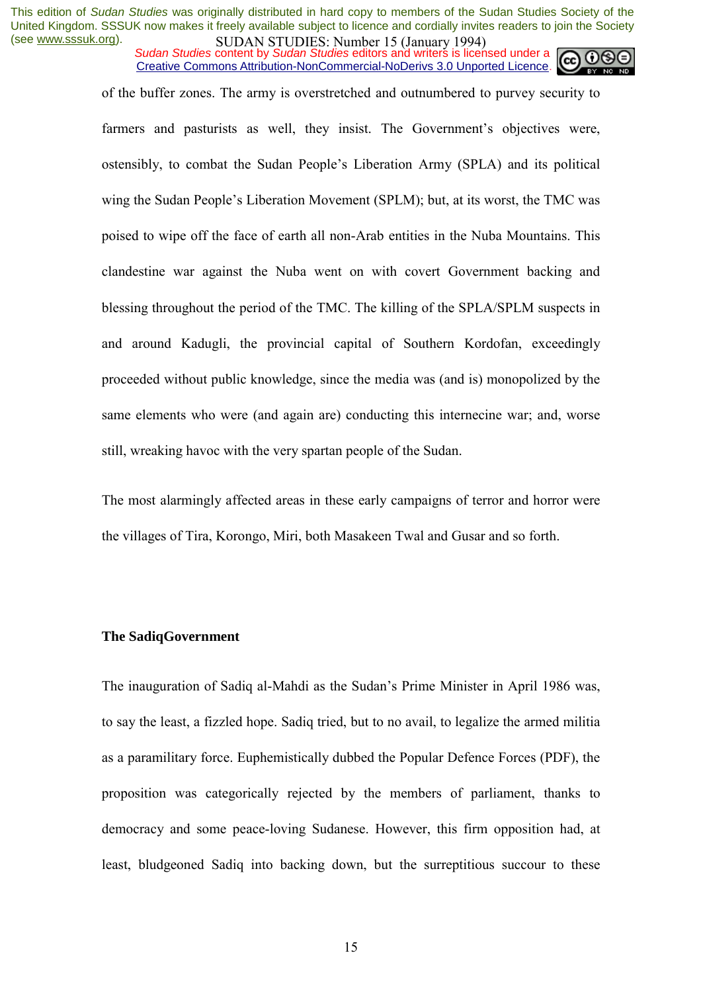*Sudan Studies* content by *Sudan Studies* editors and writers is licensed under a Creative Commons Attribution-NonCommercial-NoDerivs 3.0 Unported Licence.



of the buffer zones. The army is overstretched and outnumbered to purvey security to

farmers and pasturists as well, they insist. The Government's objectives were, ostensibly, to combat the Sudan People's Liberation Army (SPLA) and its political wing the Sudan People's Liberation Movement (SPLM); but, at its worst, the TMC was poised to wipe off the face of earth all non-Arab entities in the Nuba Mountains. This clandestine war against the Nuba went on with covert Government backing and blessing throughout the period of the TMC. The killing of the SPLA/SPLM suspects in and around Kadugli, the provincial capital of Southern Kordofan, exceedingly proceeded without public knowledge, since the media was (and is) monopolized by the same elements who were (and again are) conducting this internecine war; and, worse still, wreaking havoc with the very spartan people of the Sudan.

The most alarmingly affected areas in these early campaigns of terror and horror were the villages of Tira, Korongo, Miri, both Masakeen Twal and Gusar and so forth.

#### **The SadiqGovernment**

The inauguration of Sadiq al-Mahdi as the Sudan's Prime Minister in April 1986 was, to say the least, a fizzled hope. Sadiq tried, but to no avail, to legalize the armed militia as a paramilitary force. Euphemistically dubbed the Popular Defence Forces (PDF), the proposition was categorically rejected by the members of parliament, thanks to democracy and some peace-loving Sudanese. However, this firm opposition had, at least, bludgeoned Sadiq into backing down, but the surreptitious succour to these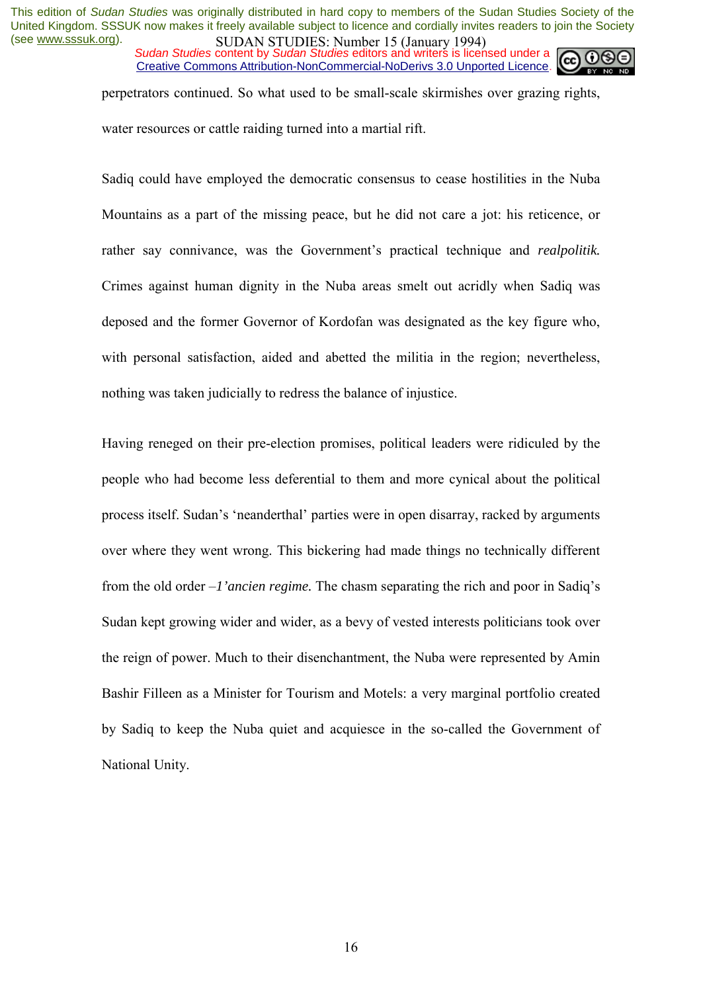*Sudan Studies* content by *Sudan Studies* editors and writers is licensed under a Creative Commons Attribution-NonCommercial-NoDerivs 3.0 Unported Licence.



perpetrators continued. So what used to be small-scale skirmishes over grazing rights,

water resources or cattle raiding turned into a martial rift.

Sadiq could have employed the democratic consensus to cease hostilities in the Nuba Mountains as a part of the missing peace, but he did not care a jot: his reticence, or rather say connivance, was the Government's practical technique and *realpolitik*. Crimes against human dignity in the Nuba areas smelt out acridly when Sadiq was deposed and the former Governor of Kordofan was designated as the key figure who, with personal satisfaction, aided and abetted the militia in the region; nevertheless, nothing was taken judicially to redress the balance of injustice.

Having reneged on their pre-election promises, political leaders were ridiculed by the people who had become less deferential to them and more cynical about the political process itself. Sudan's 'neanderthal' parties were in open disarray, racked by arguments over where they went wrong. This bickering had made things no technically different from the old order  $-I'$ *ancien regime*. The chasm separating the rich and poor in Sadiq's Sudan kept growing wider and wider, as a bevy of vested interests politicians took over the reign of power. Much to their disenchantment, the Nuba were represented by Amin Bashir Filleen as a Minister for Tourism and Motels: a very marginal portfolio created by Sadiq to keep the Nuba quiet and acquiesce in the so-called the Government of National Unity.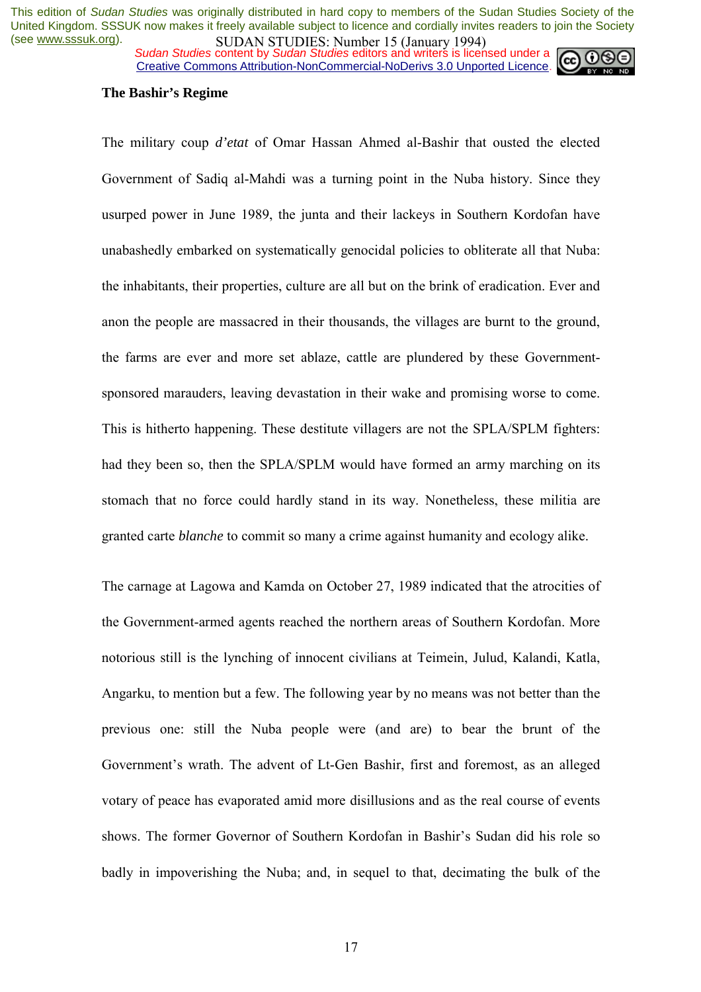*Sudan Studies* content by *Sudan Studies* editors and writers is licensed under a Creative Commons Attribution-NonCommercial-NoDerivs 3.0 Unported Licence.



### **The Bashir's Regime**

The military coup *d'etat* of Omar Hassan Ahmed al-Bashir that ousted the elected Government of Sadiq al-Mahdi was a turning point in the Nuba history. Since they usurped power in June 1989, the junta and their lackeys in Southern Kordofan have unabashedly embarked on systematically genocidal policies to obliterate all that Nuba: the inhabitants, their properties, culture are all but on the brink of eradication. Ever and anon the people are massacred in their thousands, the villages are burnt to the ground, the farms are ever and more set ablaze, cattle are plundered by these Governmentsponsored marauders, leaving devastation in their wake and promising worse to come. This is hitherto happening. These destitute villagers are not the SPLA/SPLM fighters: had they been so, then the SPLA/SPLM would have formed an army marching on its stomach that no force could hardly stand in its way. Nonetheless, these militia are granted carte *blanche* to commit so many a crime against humanity and ecology alike.

The carnage at Lagowa and Kamda on October 27, 1989 indicated that the atrocities of the Government-armed agents reached the northern areas of Southern Kordofan. More notorious still is the lynching of innocent civilians at Teimein, Julud, Kalandi, Katla, Angarku, to mention but a few. The following year by no means was not better than the previous one: still the Nuba people were (and are) to bear the brunt of the Government's wrath. The advent of Lt-Gen Bashir, first and foremost, as an alleged votary of peace has evaporated amid more disillusions and as the real course of events shows. The former Governor of Southern Kordofan in Bashir's Sudan did his role so badly in impoverishing the Nuba; and, in sequel to that, decimating the bulk of the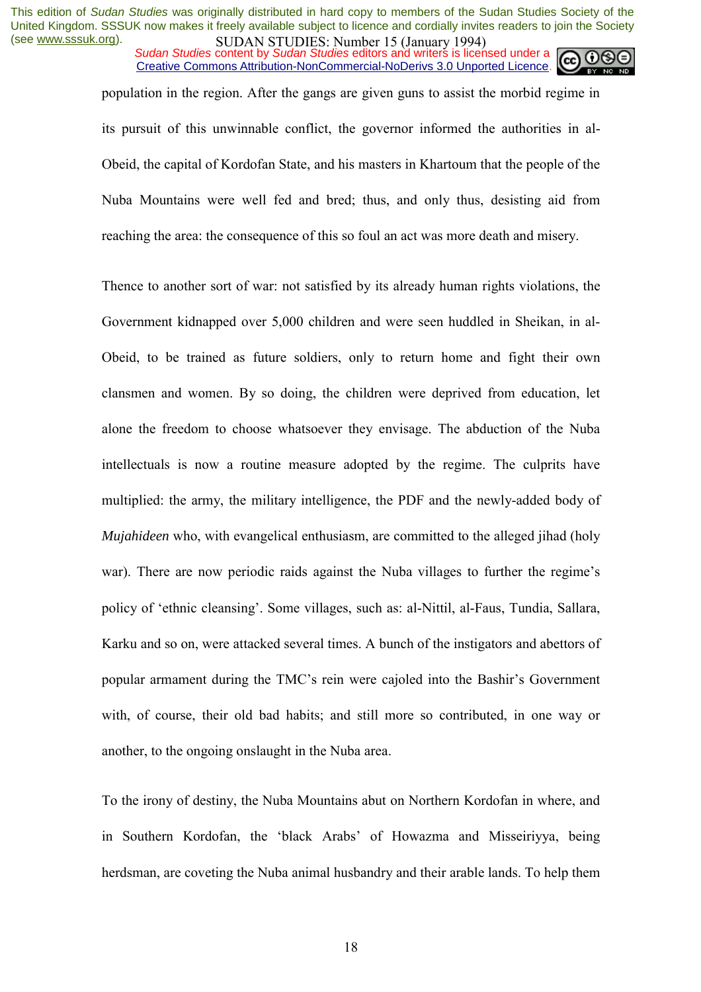*Sudan Studies* content by *Sudan Studies* editors and writers is licensed under a Creative Commons Attribution-NonCommercial-NoDerivs 3.0 Unported Licence.



population in the region. After the gangs are given guns to assist the morbid regime in its pursuit of this unwinnable conflict, the governor informed the authorities in al-Obeid, the capital of Kordofan State, and his masters in Khartoum that the people of the Nuba Mountains were well fed and bred; thus, and only thus, desisting aid from reaching the area: the consequence of this so foul an act was more death and misery.

Thence to another sort of war: not satisfied by its already human rights violations, the Government kidnapped over 5,000 children and were seen huddled in Sheikan, in al-Obeid, to be trained as future soldiers, only to return home and fight their own clansmen and women. By so doing, the children were deprived from education, let alone the freedom to choose whatsoever they envisage. The abduction of the Nuba intellectuals is now a routine measure adopted by the regime. The culprits have multiplied: the army, the military intelligence, the PDF and the newly-added body of *Mujahideen* who, with evangelical enthusiasm, are committed to the alleged jihad (holy war). There are now periodic raids against the Nuba villages to further the regime's policy of 'ethnic cleansing'. Some villages, such as: al-Nittil, al-Faus, Tundia, Sallara, Karku and so on, were attacked several times. A bunch of the instigators and abettors of popular armament during the TMC's rein were cajoled into the Bashir's Government with, of course, their old bad habits; and still more so contributed, in one way or another, to the ongoing onslaught in the Nuba area.

To the irony of destiny, the Nuba Mountains abut on Northern Kordofan in where, and in Southern Kordofan, the 'black Arabs' of Howazma and Misseiriyya, being herdsman, are coveting the Nuba animal husbandry and their arable lands. To help them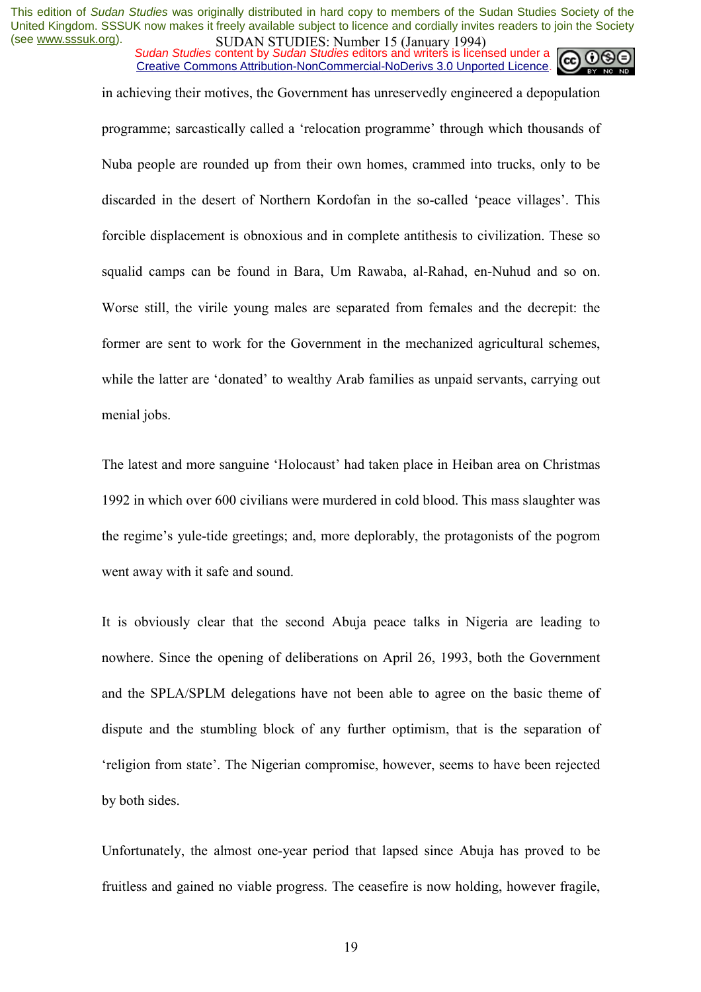*Sudan Studies* content by *Sudan Studies* editors and writers is licensed under a Creative Commons Attribution-NonCommercial-NoDerivs 3.0 Unported Licence.

in achieving their motives, the Government has unreservedly engineered a depopulation

programme; sarcastically called a ërelocation programmeí through which thousands of Nuba people are rounded up from their own homes, crammed into trucks, only to be discarded in the desert of Northern Kordofan in the so-called 'peace villages'. This forcible displacement is obnoxious and in complete antithesis to civilization. These so squalid camps can be found in Bara, Um Rawaba, al-Rahad, en-Nuhud and so on. Worse still, the virile young males are separated from females and the decrepit: the former are sent to work for the Government in the mechanized agricultural schemes, while the latter are 'donated' to wealthy Arab families as unpaid servants, carrying out menial jobs.

The latest and more sanguine 'Holocaust' had taken place in Heiban area on Christmas 1992 in which over 600 civilians were murdered in cold blood. This mass slaughter was the regimeís yule-tide greetings; and, more deplorably, the protagonists of the pogrom went away with it safe and sound.

It is obviously clear that the second Abuja peace talks in Nigeria are leading to nowhere. Since the opening of deliberations on April 26, 1993, both the Government and the SPLA/SPLM delegations have not been able to agree on the basic theme of dispute and the stumbling block of any further optimism, that is the separation of religion from state<sup>2</sup>. The Nigerian compromise, however, seems to have been rejected by both sides.

Unfortunately, the almost one-year period that lapsed since Abuja has proved to be fruitless and gained no viable progress. The ceasefire is now holding, however fragile,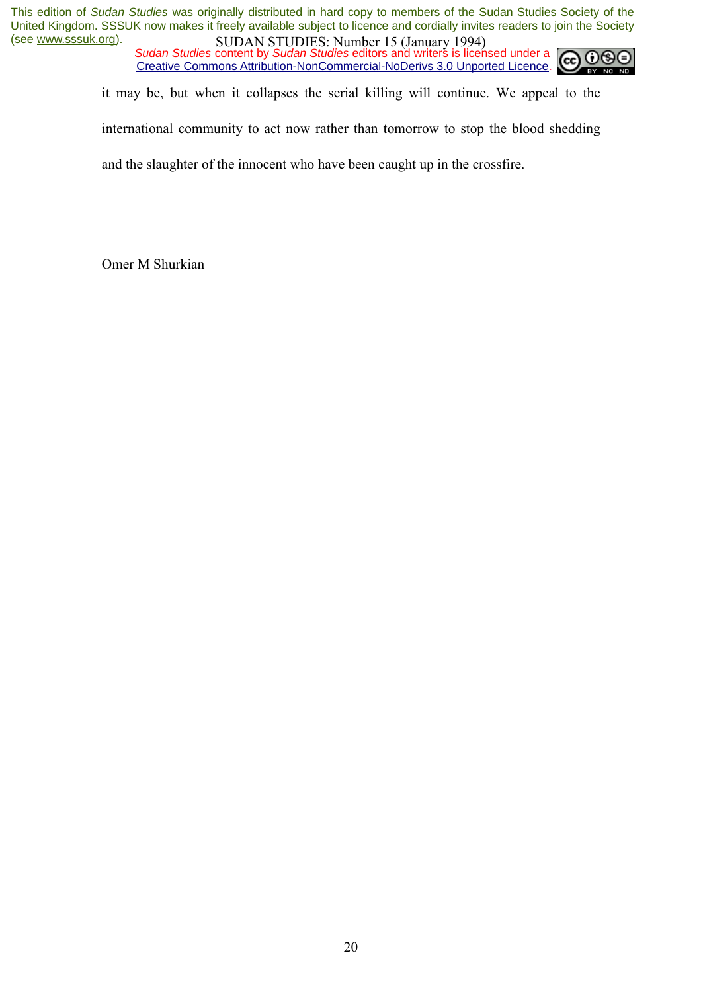*Sudan Studies* content by *Sudan Studies* editors and writers is licensed under a Creative Commons Attribution-NonCommercial-NoDerivs 3.0 Unported Licence.



it may be, but when it collapses the serial killing will continue. We appeal to the

international community to act now rather than tomorrow to stop the blood shedding

and the slaughter of the innocent who have been caught up in the crossfire.

Omer M Shurkian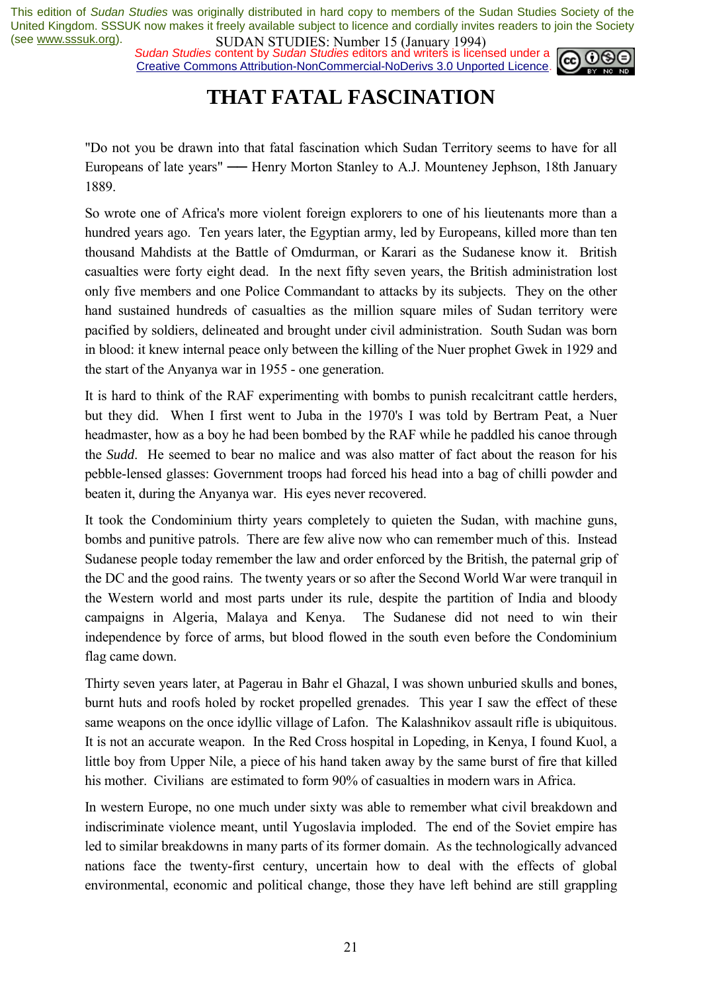*Sudan Studies* content by *Sudan Studies* editors and writers is licensed under a Creative Commons Attribution-NonCommercial-NoDerivs 3.0 Unported Licence.



### **THAT FATAL FASCINATION**

"Do not you be drawn into that fatal fascination which Sudan Territory seems to have for all Europeans of late years" — Henry Morton Stanley to A.J. Mounteney Jephson, 18th January 1889.

So wrote one of Africa's more violent foreign explorers to one of his lieutenants more than a hundred years ago. Ten years later, the Egyptian army, led by Europeans, killed more than ten thousand Mahdists at the Battle of Omdurman, or Karari as the Sudanese know it. British casualties were forty eight dead. In the next fifty seven years, the British administration lost only five members and one Police Commandant to attacks by its subjects. They on the other hand sustained hundreds of casualties as the million square miles of Sudan territory were pacified by soldiers, delineated and brought under civil administration. South Sudan was born in blood: it knew internal peace only between the killing of the Nuer prophet Gwek in 1929 and the start of the Anyanya war in 1955 - one generation.

It is hard to think of the RAF experimenting with bombs to punish recalcitrant cattle herders, but they did. When I first went to Juba in the 1970's I was told by Bertram Peat, a Nuer headmaster, how as a boy he had been bombed by the RAF while he paddled his canoe through the *Sudd*. He seemed to bear no malice and was also matter of fact about the reason for his pebble-lensed glasses: Government troops had forced his head into a bag of chilli powder and beaten it, during the Anyanya war. His eyes never recovered.

It took the Condominium thirty years completely to quieten the Sudan, with machine guns, bombs and punitive patrols. There are few alive now who can remember much of this. Instead Sudanese people today remember the law and order enforced by the British, the paternal grip of the DC and the good rains. The twenty years or so after the Second World War were tranquil in the Western world and most parts under its rule, despite the partition of India and bloody campaigns in Algeria, Malaya and Kenya. The Sudanese did not need to win their independence by force of arms, but blood flowed in the south even before the Condominium flag came down.

Thirty seven years later, at Pagerau in Bahr el Ghazal, I was shown unburied skulls and bones, burnt huts and roofs holed by rocket propelled grenades. This year I saw the effect of these same weapons on the once idyllic village of Lafon. The Kalashnikov assault rifle is ubiquitous. It is not an accurate weapon. In the Red Cross hospital in Lopeding, in Kenya, I found Kuol, a little boy from Upper Nile, a piece of his hand taken away by the same burst of fire that killed his mother. Civilians are estimated to form 90% of casualties in modern wars in Africa.

In western Europe, no one much under sixty was able to remember what civil breakdown and indiscriminate violence meant, until Yugoslavia imploded. The end of the Soviet empire has led to similar breakdowns in many parts of its former domain. As the technologically advanced nations face the twenty-first century, uncertain how to deal with the effects of global environmental, economic and political change, those they have left behind are still grappling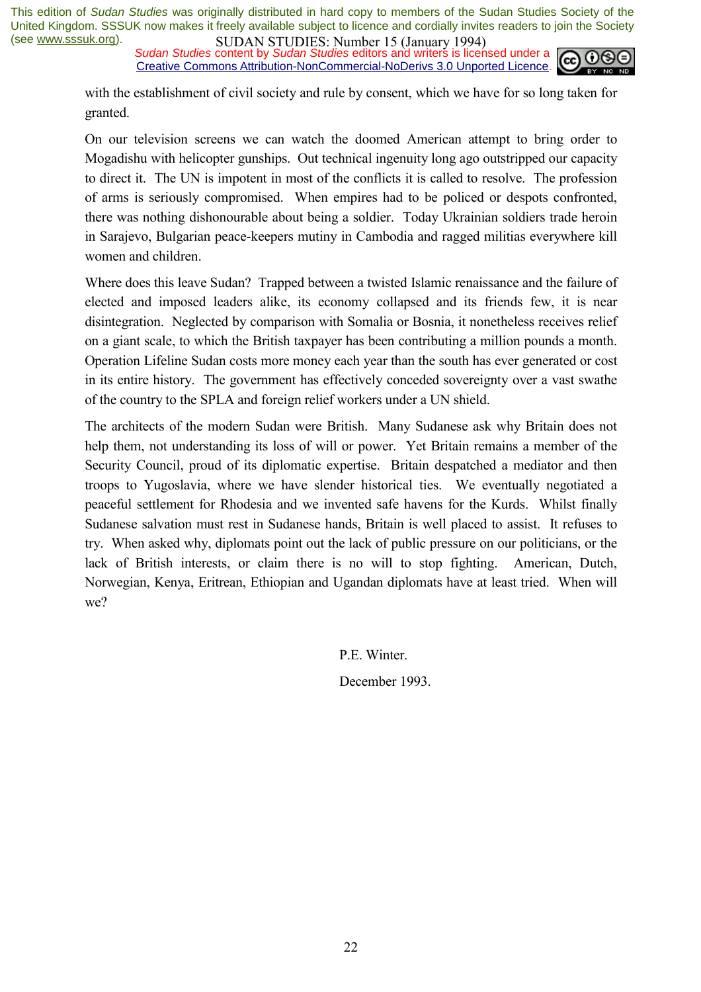*Sudan Studies* content by *Sudan Studies* editors and writers is licensed under a Creative Commons Attribution-NonCommercial-NoDerivs 3.0 Unported Licence.



with the establishment of civil society and rule by consent, which we have for so long taken for granted.

On our television screens we can watch the doomed American attempt to bring order to Mogadishu with helicopter gunships. Out technical ingenuity long ago outstripped our capacity to direct it. The UN is impotent in most of the conflicts it is called to resolve. The profession of arms is seriously compromised. When empires had to be policed or despots confronted, there was nothing dishonourable about being a soldier. Today Ukrainian soldiers trade heroin in Sarajevo, Bulgarian peace-keepers mutiny in Cambodia and ragged militias everywhere kill women and children.

Where does this leave Sudan? Trapped between a twisted Islamic renaissance and the failure of elected and imposed leaders alike, its economy collapsed and its friends few, it is near disintegration. Neglected by comparison with Somalia or Bosnia, it nonetheless receives relief on a giant scale, to which the British taxpayer has been contributing a million pounds a month. Operation Lifeline Sudan costs more money each year than the south has ever generated or cost in its entire history. The government has effectively conceded sovereignty over a vast swathe of the country to the SPLA and foreign relief workers under a UN shield.

The architects of the modern Sudan were British. Many Sudanese ask why Britain does not help them, not understanding its loss of will or power. Yet Britain remains a member of the Security Council, proud of its diplomatic expertise. Britain despatched a mediator and then troops to Yugoslavia, where we have slender historical ties. We eventually negotiated a peaceful settlement for Rhodesia and we invented safe havens for the Kurds. Whilst finally Sudanese salvation must rest in Sudanese hands, Britain is well placed to assist. It refuses to try. When asked why, diplomats point out the lack of public pressure on our politicians, or the lack of British interests, or claim there is no will to stop fighting. American, Dutch, Norwegian, Kenya, Eritrean, Ethiopian and Ugandan diplomats have at least tried. When will we?

P.E. Winter.

December 1993.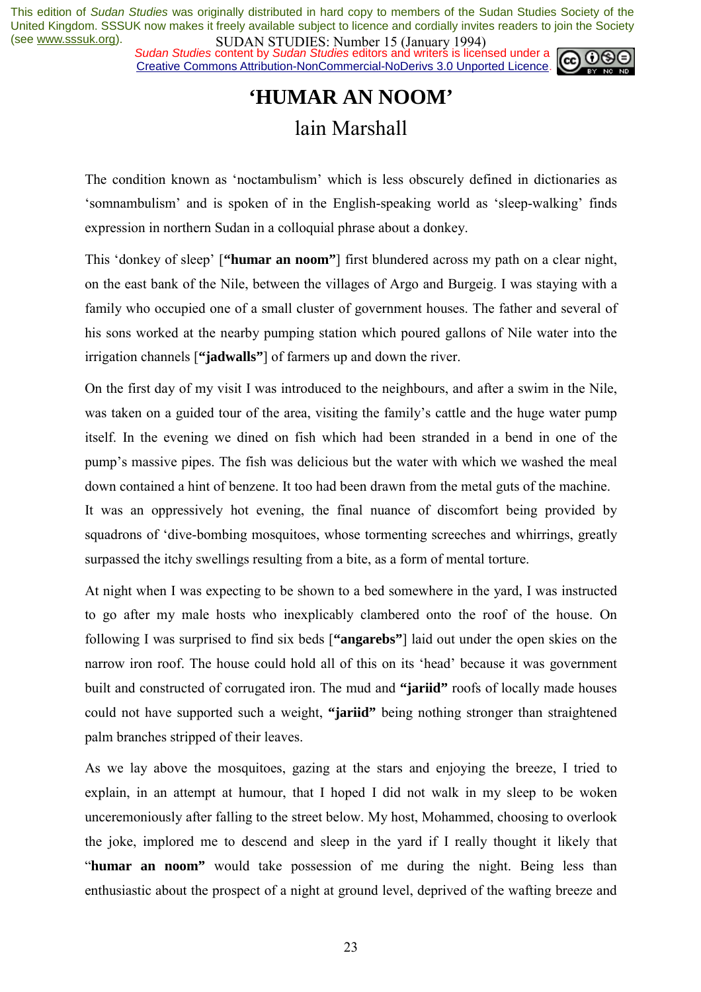*Sudan Studies* content by *Sudan Studies* editors and writers is licensed under a Creative Commons Attribution-NonCommercial-NoDerivs 3.0 Unported Licence.



## **'HUMAR AN NOOM'**  lain Marshall

The condition known as 'noctambulism' which is less obscurely defined in dictionaries as 'somnambulism' and is spoken of in the English-speaking world as 'sleep-walking' finds expression in northern Sudan in a colloquial phrase about a donkey.

This 'donkey of sleep' ["**humar an noom**"] first blundered across my path on a clear night, on the east bank of the Nile, between the villages of Argo and Burgeig. I was staying with a family who occupied one of a small cluster of government houses. The father and several of his sons worked at the nearby pumping station which poured gallons of Nile water into the irrigation channels [**"jadwalls"**] of farmers up and down the river.

On the first day of my visit I was introduced to the neighbours, and after a swim in the Nile, was taken on a guided tour of the area, visiting the family's cattle and the huge water pump itself. In the evening we dined on fish which had been stranded in a bend in one of the pumpís massive pipes. The fish was delicious but the water with which we washed the meal down contained a hint of benzene. It too had been drawn from the metal guts of the machine.

It was an oppressively hot evening, the final nuance of discomfort being provided by squadrons of 'dive-bombing mosquitoes, whose tormenting screeches and whirrings, greatly surpassed the itchy swellings resulting from a bite, as a form of mental torture.

At night when I was expecting to be shown to a bed somewhere in the yard, I was instructed to go after my male hosts who inexplicably clambered onto the roof of the house. On following I was surprised to find six beds [**"angarebs"**] laid out under the open skies on the narrow iron roof. The house could hold all of this on its 'head' because it was government built and constructed of corrugated iron. The mud and **"jariid"** roofs of locally made houses could not have supported such a weight, **"jariid"** being nothing stronger than straightened palm branches stripped of their leaves.

As we lay above the mosquitoes, gazing at the stars and enjoying the breeze, I tried to explain, in an attempt at humour, that I hoped I did not walk in my sleep to be woken unceremoniously after falling to the street below. My host, Mohammed, choosing to overlook the joke, implored me to descend and sleep in the yard if I really thought it likely that ì**humar an noom"** would take possession of me during the night. Being less than enthusiastic about the prospect of a night at ground level, deprived of the wafting breeze and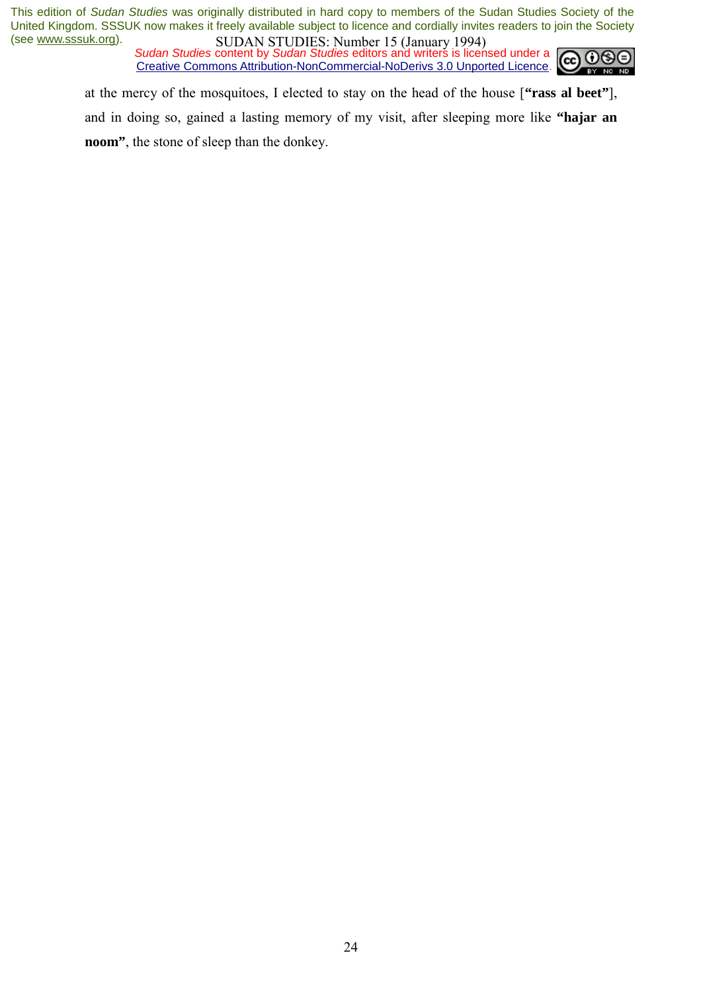*Sudan Studies* content by *Sudan Studies* editors and writers is licensed under a Creative Commons Attribution-NonCommercial-NoDerivs 3.0 Unported Licence.



at the mercy of the mosquitoes, I elected to stay on the head of the house [**"rass al beet"**], and in doing so, gained a lasting memory of my visit, after sleeping more like **"hajar an noom"**, the stone of sleep than the donkey.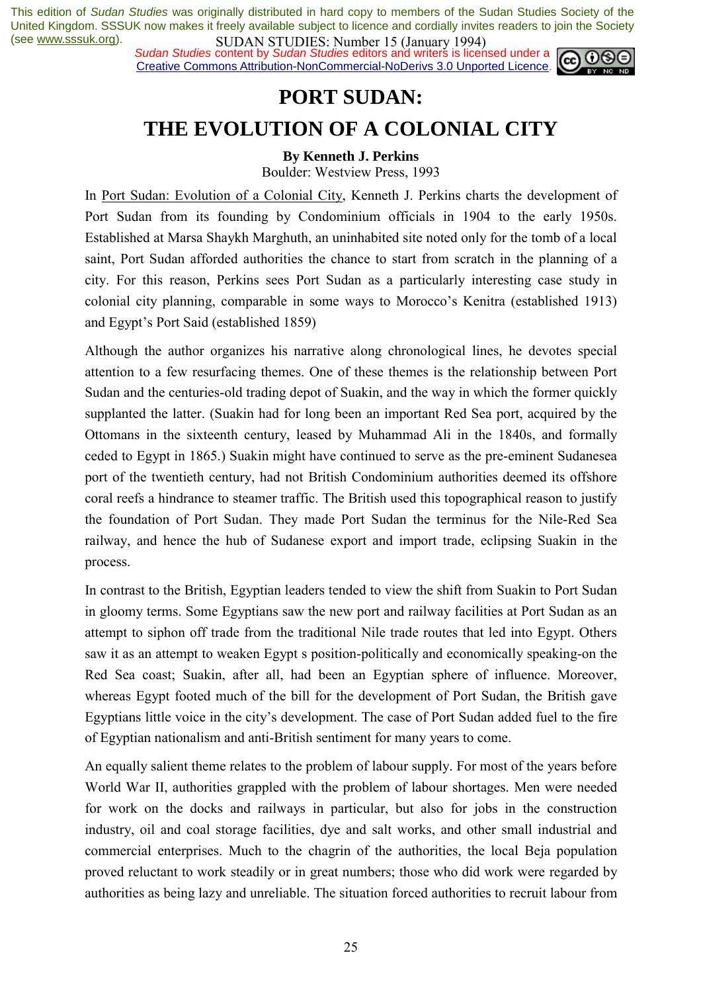*Sudan Studies* content by *Sudan Studies* editors and writers is licensed under a Creative Commons Attribution-NonCommercial-NoDerivs 3.0 Unported Licence.



### **PORT SUDAN:**

### **THE EVOLUTION OF A COLONIAL CITY**

### **By Kenneth J. Perkins**

Boulder: Westview Press, 1993

In Port Sudan: Evolution of a Colonial City, Kenneth J. Perkins charts the development of Port Sudan from its founding by Condominium officials in 1904 to the early 1950s. Established at Marsa Shaykh Marghuth, an uninhabited site noted only for the tomb of a local saint, Port Sudan afforded authorities the chance to start from scratch in the planning of a city. For this reason, Perkins sees Port Sudan as a particularly interesting case study in colonial city planning, comparable in some ways to Morocco's Kenitra (established 1913) and Egypt's Port Said (established 1859)

Although the author organizes his narrative along chronological lines, he devotes special attention to a few resurfacing themes. One of these themes is the relationship between Port Sudan and the centuries-old trading depot of Suakin, and the way in which the former quickly supplanted the latter. (Suakin had for long been an important Red Sea port, acquired by the Ottomans in the sixteenth century, leased by Muhammad Ali in the 1840s, and formally ceded to Egypt in 1865.) Suakin might have continued to serve as the pre-eminent Sudanesea port of the twentieth century, had not British Condominium authorities deemed its offshore coral reefs a hindrance to steamer traffic. The British used this topographical reason to justify the foundation of Port Sudan. They made Port Sudan the terminus for the Nile-Red Sea railway, and hence the hub of Sudanese export and import trade, eclipsing Suakin in the process.

In contrast to the British, Egyptian leaders tended to view the shift from Suakin to Port Sudan in gloomy terms. Some Egyptians saw the new port and railway facilities at Port Sudan as an attempt to siphon off trade from the traditional Nile trade routes that led into Egypt. Others saw it as an attempt to weaken Egypt s position-politically and economically speaking-on the Red Sea coast; Suakin, after all, had been an Egyptian sphere of influence. Moreover, whereas Egypt footed much of the bill for the development of Port Sudan, the British gave Egyptians little voice in the cityís development. The case of Port Sudan added fuel to the fire of Egyptian nationalism and anti-British sentiment for many years to come.

An equally salient theme relates to the problem of labour supply. For most of the years before World War II, authorities grappled with the problem of labour shortages. Men were needed for work on the docks and railways in particular, but also for jobs in the construction industry, oil and coal storage facilities, dye and salt works, and other small industrial and commercial enterprises. Much to the chagrin of the authorities, the local Beja population proved reluctant to work steadily or in great numbers; those who did work were regarded by authorities as being lazy and unreliable. The situation forced authorities to recruit labour from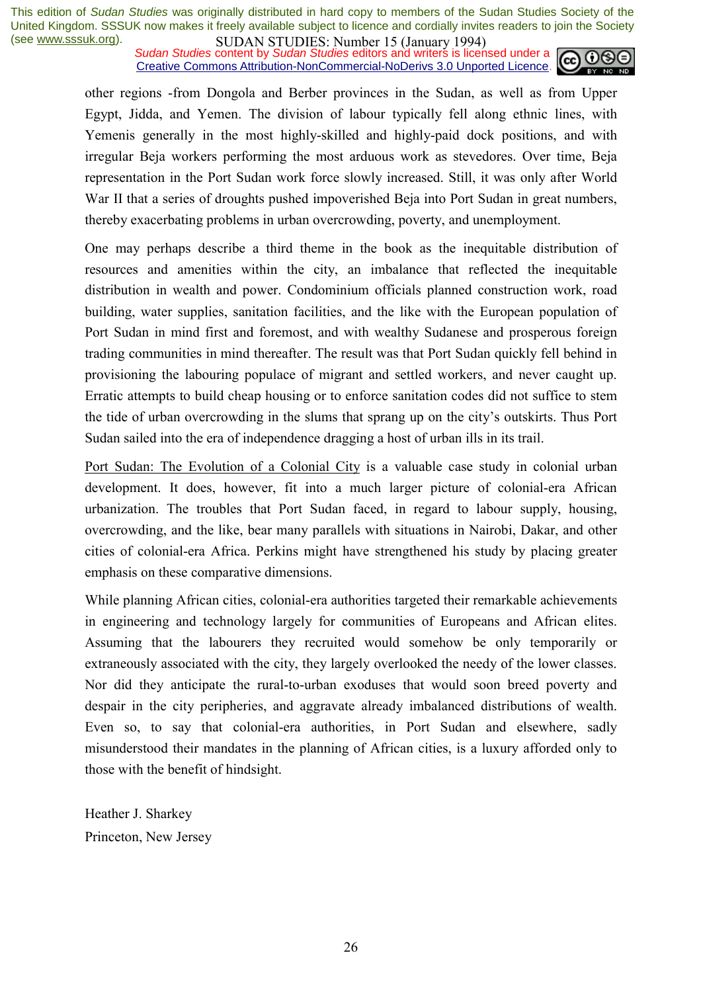*Sudan Studies* content by *Sudan Studies* editors and writers is licensed under a Creative Commons Attribution-NonCommercial-NoDerivs 3.0 Unported Licence.



other regions -from Dongola and Berber provinces in the Sudan, as well as from Upper Egypt, Jidda, and Yemen. The division of labour typically fell along ethnic lines, with Yemenis generally in the most highly-skilled and highly-paid dock positions, and with irregular Beja workers performing the most arduous work as stevedores. Over time, Beja representation in the Port Sudan work force slowly increased. Still, it was only after World War II that a series of droughts pushed impoverished Beja into Port Sudan in great numbers, thereby exacerbating problems in urban overcrowding, poverty, and unemployment.

One may perhaps describe a third theme in the book as the inequitable distribution of resources and amenities within the city, an imbalance that reflected the inequitable distribution in wealth and power. Condominium officials planned construction work, road building, water supplies, sanitation facilities, and the like with the European population of Port Sudan in mind first and foremost, and with wealthy Sudanese and prosperous foreign trading communities in mind thereafter. The result was that Port Sudan quickly fell behind in provisioning the labouring populace of migrant and settled workers, and never caught up. Erratic attempts to build cheap housing or to enforce sanitation codes did not suffice to stem the tide of urban overcrowding in the slums that sprang up on the city's outskirts. Thus Port Sudan sailed into the era of independence dragging a host of urban ills in its trail.

Port Sudan: The Evolution of a Colonial City is a valuable case study in colonial urban development. It does, however, fit into a much larger picture of colonial-era African urbanization. The troubles that Port Sudan faced, in regard to labour supply, housing, overcrowding, and the like, bear many parallels with situations in Nairobi, Dakar, and other cities of colonial-era Africa. Perkins might have strengthened his study by placing greater emphasis on these comparative dimensions.

While planning African cities, colonial-era authorities targeted their remarkable achievements in engineering and technology largely for communities of Europeans and African elites. Assuming that the labourers they recruited would somehow be only temporarily or extraneously associated with the city, they largely overlooked the needy of the lower classes. Nor did they anticipate the rural-to-urban exoduses that would soon breed poverty and despair in the city peripheries, and aggravate already imbalanced distributions of wealth. Even so, to say that colonial-era authorities, in Port Sudan and elsewhere, sadly misunderstood their mandates in the planning of African cities, is a luxury afforded only to those with the benefit of hindsight.

Heather J. Sharkey Princeton, New Jersey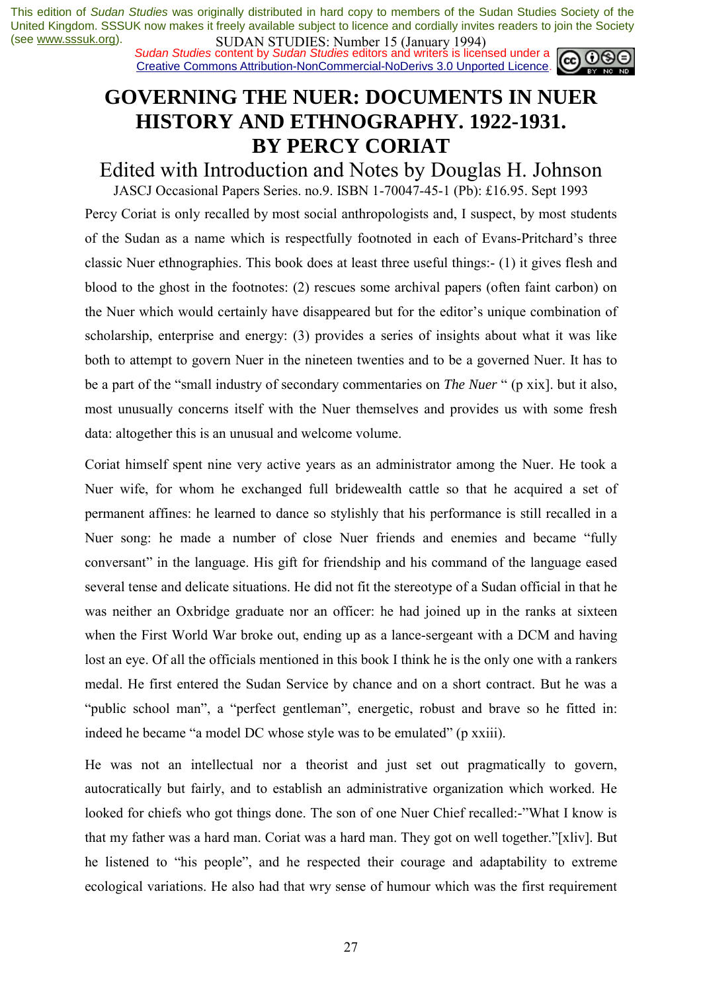*Sudan Studies* content by *Sudan Studies* editors and writers is licensed under a Creative Commons Attribution-NonCommercial-NoDerivs 3.0 Unported Licence.

### **GOVERNING THE NUER: DOCUMENTS IN NUER HISTORY AND ETHNOGRAPHY. 1922-1931. BY PERCY CORIAT**

Edited with Introduction and Notes by Douglas H. Johnson

JASCJ Occasional Papers Series. no.9. ISBN 1-70047-45-1 (Pb): £16.95. Sept 1993

Percy Coriat is only recalled by most social anthropologists and, I suspect, by most students of the Sudan as a name which is respectfully footnoted in each of Evans-Pritchard's three classic Nuer ethnographies. This book does at least three useful things:- (1) it gives flesh and blood to the ghost in the footnotes: (2) rescues some archival papers (often faint carbon) on the Nuer which would certainly have disappeared but for the editor's unique combination of scholarship, enterprise and energy: (3) provides a series of insights about what it was like both to attempt to govern Nuer in the nineteen twenties and to be a governed Nuer. It has to be a part of the "small industry of secondary commentaries on *The Nuer* " (p xix), but it also, most unusually concerns itself with the Nuer themselves and provides us with some fresh data: altogether this is an unusual and welcome volume.

Coriat himself spent nine very active years as an administrator among the Nuer. He took a Nuer wife, for whom he exchanged full bridewealth cattle so that he acquired a set of permanent affines: he learned to dance so stylishly that his performance is still recalled in a Nuer song: he made a number of close Nuer friends and enemies and became "fully" conversant" in the language. His gift for friendship and his command of the language eased several tense and delicate situations. He did not fit the stereotype of a Sudan official in that he was neither an Oxbridge graduate nor an officer: he had joined up in the ranks at sixteen when the First World War broke out, ending up as a lance-sergeant with a DCM and having lost an eye. Of all the officials mentioned in this book I think he is the only one with a rankers medal. He first entered the Sudan Service by chance and on a short contract. But he was a "public school man", a "perfect gentleman", energetic, robust and brave so he fitted in: indeed he became "a model DC whose style was to be emulated" (p xxiii).

He was not an intellectual nor a theorist and just set out pragmatically to govern, autocratically but fairly, and to establish an administrative organization which worked. He looked for chiefs who got things done. The son of one Nuer Chief recalled:-"What I know is that my father was a hard man. Coriat was a hard man. They got on well together."[xliv]. But he listened to "his people", and he respected their courage and adaptability to extreme ecological variations. He also had that wry sense of humour which was the first requirement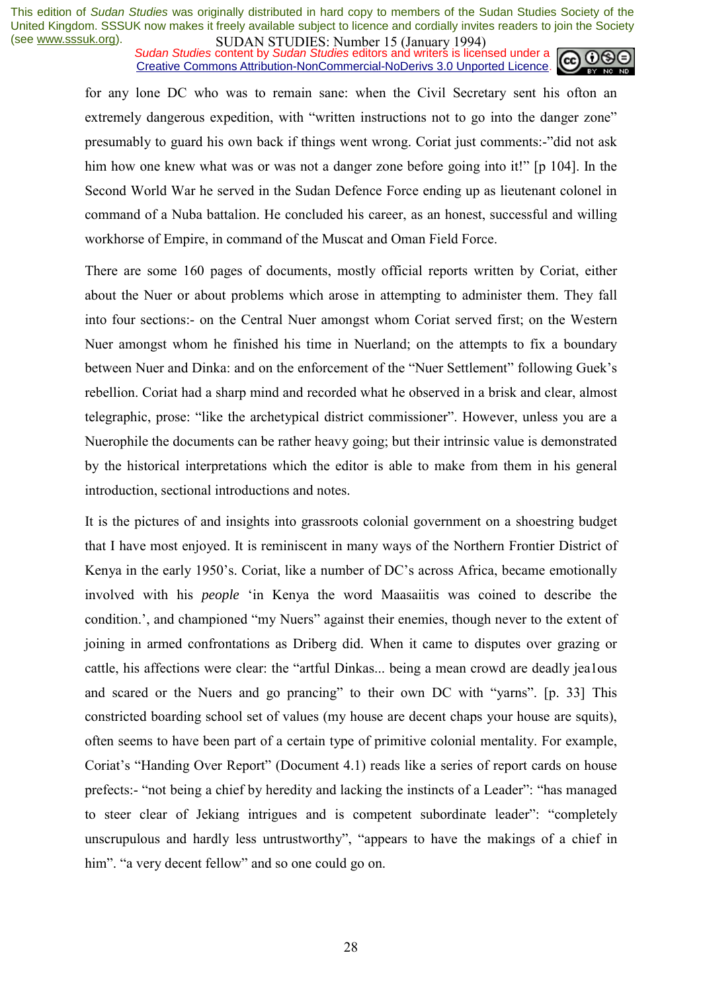*Sudan Studies* content by *Sudan Studies* editors and writers is licensed under a Creative Commons Attribution-NonCommercial-NoDerivs 3.0 Unported Licence.



for any lone DC who was to remain sane: when the Civil Secretary sent his ofton an extremely dangerous expedition, with "written instructions not to go into the danger zone" presumably to guard his own back if things went wrong. Coriat just comments:-"did not ask him how one knew what was or was not a danger zone before going into it!" [p 104]. In the Second World War he served in the Sudan Defence Force ending up as lieutenant colonel in command of a Nuba battalion. He concluded his career, as an honest, successful and willing workhorse of Empire, in command of the Muscat and Oman Field Force.

There are some 160 pages of documents, mostly official reports written by Coriat, either about the Nuer or about problems which arose in attempting to administer them. They fall into four sections:- on the Central Nuer amongst whom Coriat served first; on the Western Nuer amongst whom he finished his time in Nuerland; on the attempts to fix a boundary between Nuer and Dinka: and on the enforcement of the "Nuer Settlement" following Guek's rebellion. Coriat had a sharp mind and recorded what he observed in a brisk and clear, almost telegraphic, prose: "like the archetypical district commissioner". However, unless you are a Nuerophile the documents can be rather heavy going; but their intrinsic value is demonstrated by the historical interpretations which the editor is able to make from them in his general introduction, sectional introductions and notes.

It is the pictures of and insights into grassroots colonial government on a shoestring budget that I have most enjoyed. It is reminiscent in many ways of the Northern Frontier District of Kenya in the early 1950's. Coriat, like a number of DC's across Africa, became emotionally involved with his *people* ëin Kenya the word Maasaiitis was coined to describe the condition.<sup>7</sup>, and championed "my Nuers" against their enemies, though never to the extent of joining in armed confrontations as Driberg did. When it came to disputes over grazing or cattle, his affections were clear: the "artful Dinkas... being a mean crowd are deadly jea1ous and scared or the Nuers and go prancing" to their own DC with "yarns". [p. 33] This constricted boarding school set of values (my house are decent chaps your house are squits), often seems to have been part of a certain type of primitive colonial mentality. For example, Coriat's "Handing Over Report" (Document 4.1) reads like a series of report cards on house prefects:- "not being a chief by heredity and lacking the instincts of a Leader": "has managed to steer clear of Jekiang intrigues and is competent subordinate leader": "completely unscrupulous and hardly less untrustworthy", "appears to have the makings of a chief in him". "a very decent fellow" and so one could go on.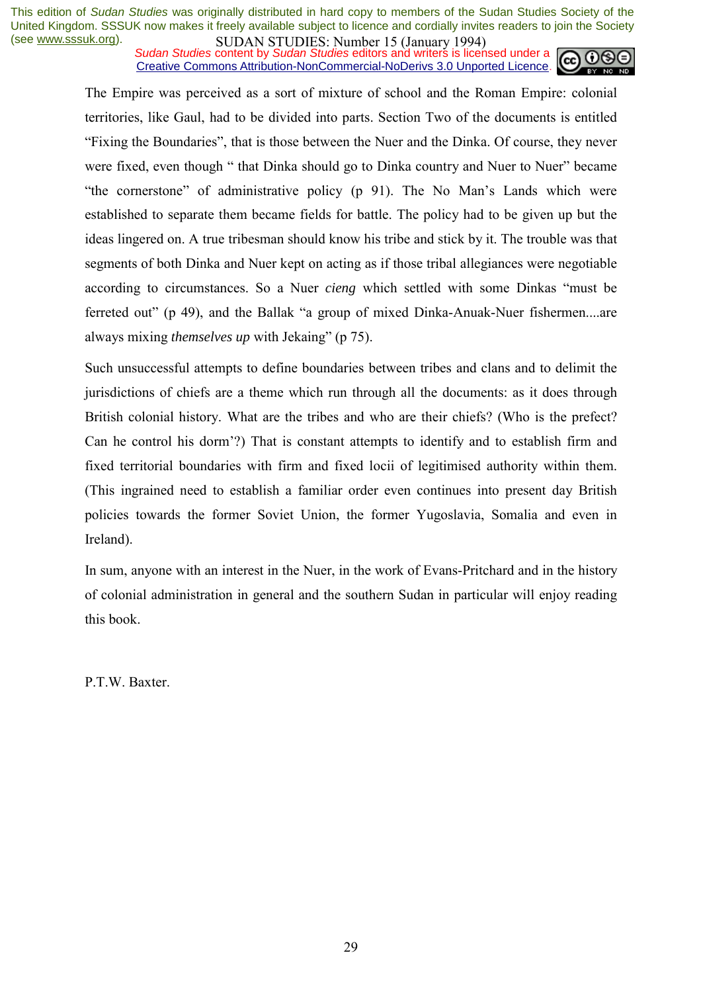*Sudan Studies* content by *Sudan Studies* editors and writers is licensed under a Creative Commons Attribution-NonCommercial-NoDerivs 3.0 Unported Licence.



The Empire was perceived as a sort of mixture of school and the Roman Empire: colonial territories, like Gaul, had to be divided into parts. Section Two of the documents is entitled ìFixing the Boundariesî, that is those between the Nuer and the Dinka. Of course, they never were fixed, even though " that Dinka should go to Dinka country and Nuer to Nuer" became "the cornerstone" of administrative policy  $(p 91)$ . The No Man's Lands which were established to separate them became fields for battle. The policy had to be given up but the ideas lingered on. A true tribesman should know his tribe and stick by it. The trouble was that segments of both Dinka and Nuer kept on acting as if those tribal allegiances were negotiable according to circumstances. So a Nuer *cieng* which settled with some Dinkas "must be ferreted out" (p 49), and the Ballak "a group of mixed Dinka-Anuak-Nuer fishermen....are always mixing *themselves up* with Jekaing" (p 75).

Such unsuccessful attempts to define boundaries between tribes and clans and to delimit the jurisdictions of chiefs are a theme which run through all the documents: as it does through British colonial history. What are the tribes and who are their chiefs? (Who is the prefect? Can he control his dorm<sup>?</sup>?) That is constant attempts to identify and to establish firm and fixed territorial boundaries with firm and fixed locii of legitimised authority within them. (This ingrained need to establish a familiar order even continues into present day British policies towards the former Soviet Union, the former Yugoslavia, Somalia and even in Ireland).

In sum, anyone with an interest in the Nuer, in the work of Evans-Pritchard and in the history of colonial administration in general and the southern Sudan in particular will enjoy reading this book.

P.T.W. Baxter.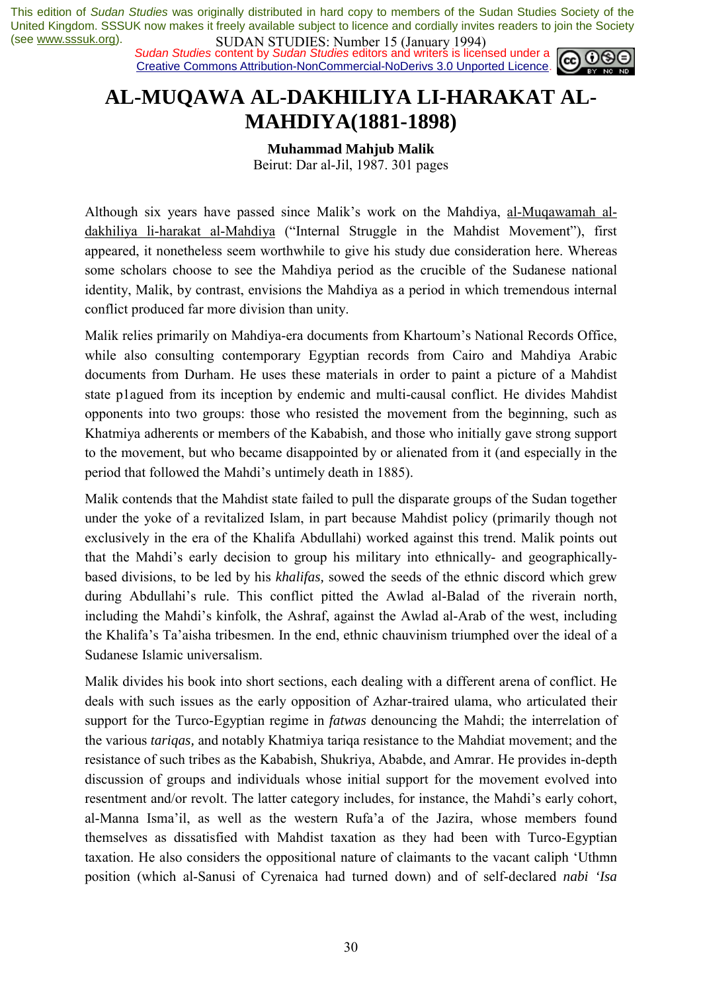*Sudan Studies* content by *Sudan Studies* editors and writers is licensed under a Creative Commons Attribution-NonCommercial-NoDerivs 3.0 Unported Licence.



### **AL-MUQAWA AL-DAKHILIYA LI-HARAKAT AL-MAHDIYA(1881-1898)**

**Muhammad Mahjub Malik** 

Beirut: Dar al-Jil, 1987. 301 pages

Although six years have passed since Malik's work on the Mahdiya, al-Muqawamah aldakhiliya li-harakat al-Mahdiya ("Internal Struggle in the Mahdist Movement"), first appeared, it nonetheless seem worthwhile to give his study due consideration here. Whereas some scholars choose to see the Mahdiya period as the crucible of the Sudanese national identity, Malik, by contrast, envisions the Mahdiya as a period in which tremendous internal conflict produced far more division than unity.

Malik relies primarily on Mahdiya-era documents from Khartoum's National Records Office, while also consulting contemporary Egyptian records from Cairo and Mahdiya Arabic documents from Durham. He uses these materials in order to paint a picture of a Mahdist state p1agued from its inception by endemic and multi-causal conflict. He divides Mahdist opponents into two groups: those who resisted the movement from the beginning, such as Khatmiya adherents or members of the Kababish, and those who initially gave strong support to the movement, but who became disappointed by or alienated from it (and especially in the period that followed the Mahdi's untimely death in 1885).

Malik contends that the Mahdist state failed to pull the disparate groups of the Sudan together under the yoke of a revitalized Islam, in part because Mahdist policy (primarily though not exclusively in the era of the Khalifa Abdullahi) worked against this trend. Malik points out that the Mahdi's early decision to group his military into ethnically- and geographicallybased divisions, to be led by his *khalifas,* sowed the seeds of the ethnic discord which grew during Abdullahi's rule. This conflict pitted the Awlad al-Balad of the riverain north, including the Mahdi's kinfolk, the Ashraf, against the Awlad al-Arab of the west, including the Khalifaís Taíaisha tribesmen. In the end, ethnic chauvinism triumphed over the ideal of a Sudanese Islamic universalism.

Malik divides his book into short sections, each dealing with a different arena of conflict. He deals with such issues as the early opposition of Azhar-traired ulama, who articulated their support for the Turco-Egyptian regime in *fatwas* denouncing the Mahdi; the interrelation of the various *tariqas,* and notably Khatmiya tariqa resistance to the Mahdiat movement; and the resistance of such tribes as the Kababish, Shukriya, Ababde, and Amrar. He provides in-depth discussion of groups and individuals whose initial support for the movement evolved into resentment and/or revolt. The latter category includes, for instance, the Mahdi's early cohort, al-Manna Ismaíil, as well as the western Rufaía of the Jazira, whose members found themselves as dissatisfied with Mahdist taxation as they had been with Turco-Egyptian taxation. He also considers the oppositional nature of claimants to the vacant caliph 'Uthmn position (which al-Sanusi of Cyrenaica had turned down) and of self-declared *nabi 'Isa*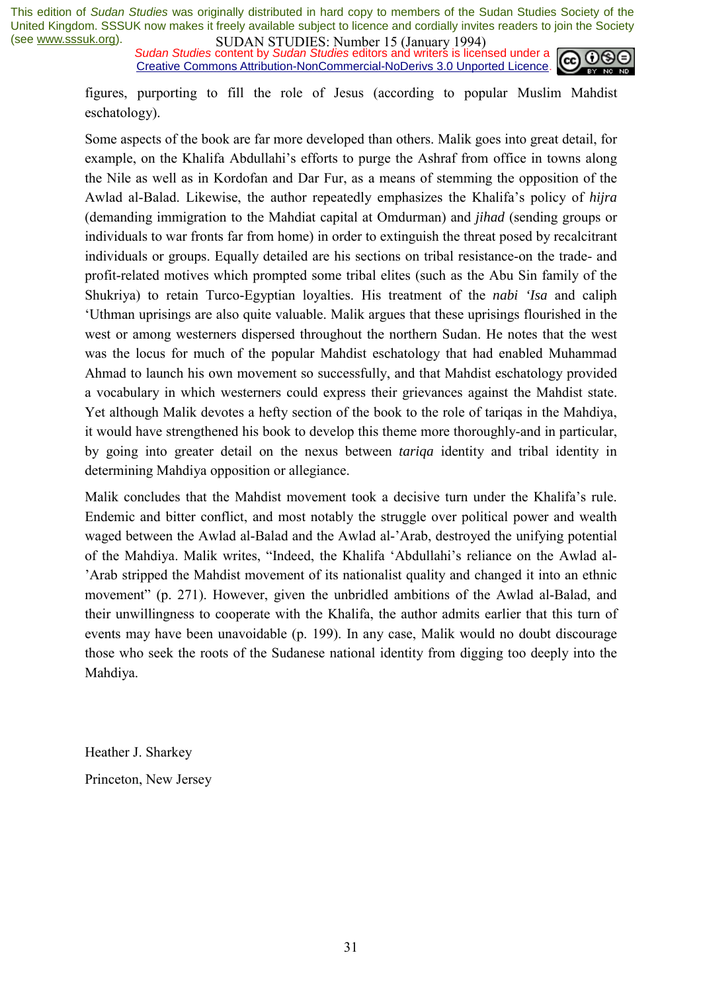*Sudan Studies* content by *Sudan Studies* editors and writers is licensed under a Creative Commons Attribution-NonCommercial-NoDerivs 3.0 Unported Licence.



figures, purporting to fill the role of Jesus (according to popular Muslim Mahdist eschatology).

Some aspects of the book are far more developed than others. Malik goes into great detail, for example, on the Khalifa Abdullahi's efforts to purge the Ashraf from office in towns along the Nile as well as in Kordofan and Dar Fur, as a means of stemming the opposition of the Awlad al-Balad. Likewise, the author repeatedly emphasizes the Khalifaís policy of *hijra*  (demanding immigration to the Mahdiat capital at Omdurman) and *jihad* (sending groups or individuals to war fronts far from home) in order to extinguish the threat posed by recalcitrant individuals or groups. Equally detailed are his sections on tribal resistance-on the trade- and profit-related motives which prompted some tribal elites (such as the Abu Sin family of the Shukriya) to retain Turco-Egyptian loyalties. His treatment of the *nabi 'Isa* and caliph ëUthman uprisings are also quite valuable. Malik argues that these uprisings flourished in the west or among westerners dispersed throughout the northern Sudan. He notes that the west was the locus for much of the popular Mahdist eschatology that had enabled Muhammad Ahmad to launch his own movement so successfully, and that Mahdist eschatology provided a vocabulary in which westerners could express their grievances against the Mahdist state. Yet although Malik devotes a hefty section of the book to the role of tariqas in the Mahdiya, it would have strengthened his book to develop this theme more thoroughly-and in particular, by going into greater detail on the nexus between *tariqa* identity and tribal identity in determining Mahdiya opposition or allegiance.

Malik concludes that the Mahdist movement took a decisive turn under the Khalifa's rule. Endemic and bitter conflict, and most notably the struggle over political power and wealth waged between the Awlad al-Balad and the Awlad al-'Arab, destroyed the unifying potential of the Mahdiya. Malik writes, "Indeed, the Khalifa 'Abdullahi's reliance on the Awlad al-<sup>2</sup> Arab stripped the Mahdist movement of its nationalist quality and changed it into an ethnic movement" (p. 271). However, given the unbridled ambitions of the Awlad al-Balad, and their unwillingness to cooperate with the Khalifa, the author admits earlier that this turn of events may have been unavoidable (p. 199). In any case, Malik would no doubt discourage those who seek the roots of the Sudanese national identity from digging too deeply into the Mahdiya.

Heather J. Sharkey Princeton, New Jersey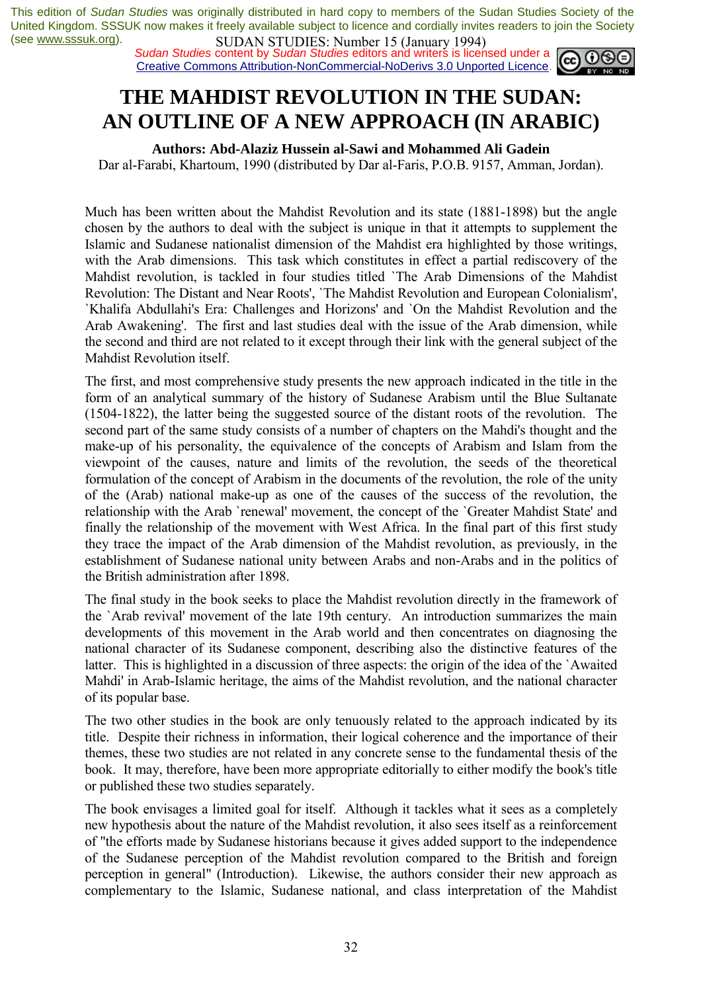*Sudan Studies* content by *Sudan Studies* editors and writers is licensed under a Creative Commons Attribution-NonCommercial-NoDerivs 3.0 Unported Licence.



## **THE MAHDIST REVOLUTION IN THE SUDAN: AN OUTLINE OF A NEW APPROACH (IN ARABIC)**

**Authors: Abd-Alaziz Hussein al-Sawi and Mohammed Ali Gadein** 

Dar al-Farabi, Khartoum, 1990 (distributed by Dar al-Faris, P.O.B. 9157, Amman, Jordan).

Much has been written about the Mahdist Revolution and its state (1881-1898) but the angle chosen by the authors to deal with the subject is unique in that it attempts to supplement the Islamic and Sudanese nationalist dimension of the Mahdist era highlighted by those writings, with the Arab dimensions. This task which constitutes in effect a partial rediscovery of the Mahdist revolution, is tackled in four studies titled `The Arab Dimensions of the Mahdist Revolution: The Distant and Near Roots', `The Mahdist Revolution and European Colonialism', `Khalifa Abdullahi's Era: Challenges and Horizons' and `On the Mahdist Revolution and the Arab Awakening'. The first and last studies deal with the issue of the Arab dimension, while the second and third are not related to it except through their link with the general subject of the Mahdist Revolution itself.

The first, and most comprehensive study presents the new approach indicated in the title in the form of an analytical summary of the history of Sudanese Arabism until the Blue Sultanate (1504-1822), the latter being the suggested source of the distant roots of the revolution. The second part of the same study consists of a number of chapters on the Mahdi's thought and the make-up of his personality, the equivalence of the concepts of Arabism and Islam from the viewpoint of the causes, nature and limits of the revolution, the seeds of the theoretical formulation of the concept of Arabism in the documents of the revolution, the role of the unity of the (Arab) national make-up as one of the causes of the success of the revolution, the relationship with the Arab `renewal' movement, the concept of the `Greater Mahdist State' and finally the relationship of the movement with West Africa. In the final part of this first study they trace the impact of the Arab dimension of the Mahdist revolution, as previously, in the establishment of Sudanese national unity between Arabs and non-Arabs and in the politics of the British administration after 1898.

The final study in the book seeks to place the Mahdist revolution directly in the framework of the `Arab revival' movement of the late 19th century. An introduction summarizes the main developments of this movement in the Arab world and then concentrates on diagnosing the national character of its Sudanese component, describing also the distinctive features of the latter. This is highlighted in a discussion of three aspects: the origin of the idea of the `Awaited Mahdi' in Arab-Islamic heritage, the aims of the Mahdist revolution, and the national character of its popular base.

The two other studies in the book are only tenuously related to the approach indicated by its title. Despite their richness in information, their logical coherence and the importance of their themes, these two studies are not related in any concrete sense to the fundamental thesis of the book. It may, therefore, have been more appropriate editorially to either modify the book's title or published these two studies separately.

The book envisages a limited goal for itself. Although it tackles what it sees as a completely new hypothesis about the nature of the Mahdist revolution, it also sees itself as a reinforcement of "the efforts made by Sudanese historians because it gives added support to the independence of the Sudanese perception of the Mahdist revolution compared to the British and foreign perception in general" (Introduction). Likewise, the authors consider their new approach as complementary to the Islamic, Sudanese national, and class interpretation of the Mahdist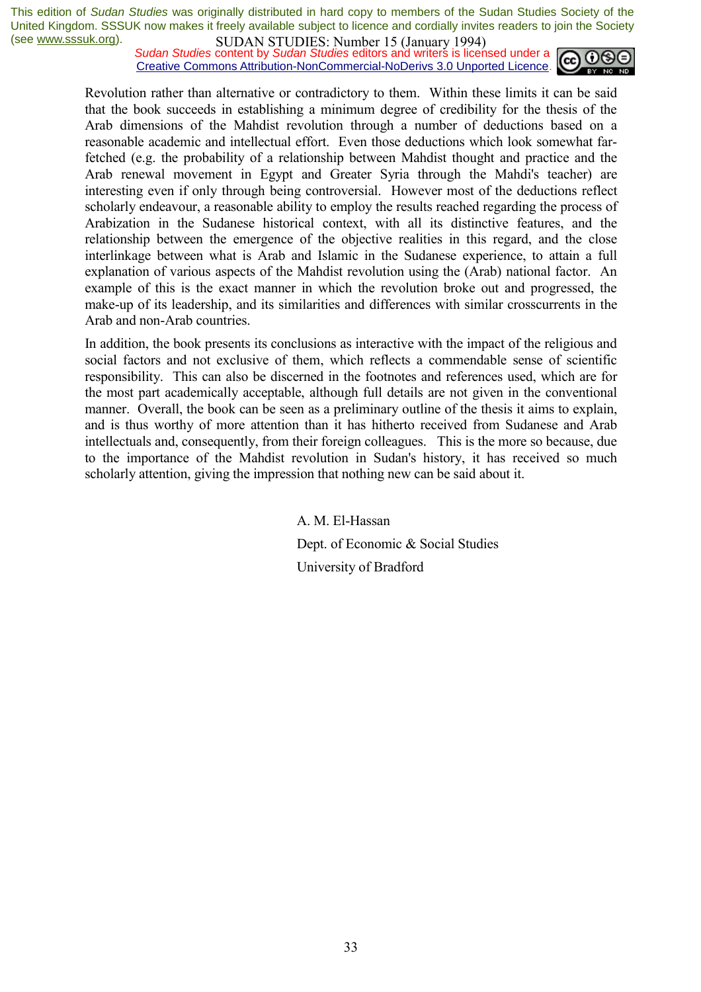*Sudan Studies* content by *Sudan Studies* editors and writers is licensed under a Creative Commons Attribution-NonCommercial-NoDerivs 3.0 Unported Licence.



Revolution rather than alternative or contradictory to them. Within these limits it can be said that the book succeeds in establishing a minimum degree of credibility for the thesis of the Arab dimensions of the Mahdist revolution through a number of deductions based on a reasonable academic and intellectual effort. Even those deductions which look somewhat farfetched (e.g. the probability of a relationship between Mahdist thought and practice and the Arab renewal movement in Egypt and Greater Syria through the Mahdi's teacher) are interesting even if only through being controversial. However most of the deductions reflect scholarly endeavour, a reasonable ability to employ the results reached regarding the process of Arabization in the Sudanese historical context, with all its distinctive features, and the relationship between the emergence of the objective realities in this regard, and the close interlinkage between what is Arab and Islamic in the Sudanese experience, to attain a full explanation of various aspects of the Mahdist revolution using the (Arab) national factor. An example of this is the exact manner in which the revolution broke out and progressed, the make-up of its leadership, and its similarities and differences with similar crosscurrents in the Arab and non-Arab countries.

In addition, the book presents its conclusions as interactive with the impact of the religious and social factors and not exclusive of them, which reflects a commendable sense of scientific responsibility. This can also be discerned in the footnotes and references used, which are for the most part academically acceptable, although full details are not given in the conventional manner. Overall, the book can be seen as a preliminary outline of the thesis it aims to explain, and is thus worthy of more attention than it has hitherto received from Sudanese and Arab intellectuals and, consequently, from their foreign colleagues. This is the more so because, due to the importance of the Mahdist revolution in Sudan's history, it has received so much scholarly attention, giving the impression that nothing new can be said about it.

> A. M. El-Hassan Dept. of Economic & Social Studies University of Bradford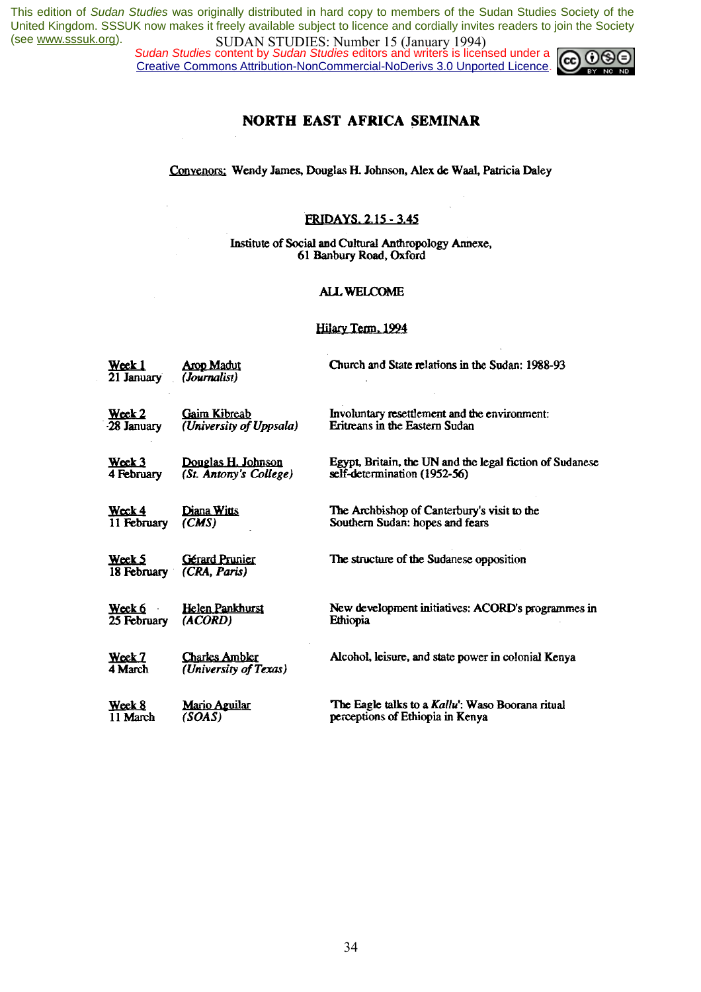*Sudan Studies* content by *Sudan Studies* editors and writers is licensed under a Creative Commons Attribution-NonCommercial-NoDerivs 3.0 Unported Licence.



### NORTH EAST AFRICA SEMINAR

Convenors: Wendy James, Douglas H. Johnson, Alex de Waal, Patricia Daley

#### **FRIDAYS. 2.15 - 3.45**

Institute of Social and Cultural Anthropology Annexe, 61 Banbury Road, Oxford

#### **ALL WELCOME**

#### Hilary Term, 1994

| <u>Wœk 1</u><br>21 January | <b>Arop Madut</b><br>(Journalist)              | Church and State relations in the Sudan: 1988-93         |
|----------------------------|------------------------------------------------|----------------------------------------------------------|
| Week 2                     | <b>Gaim Kibreab</b>                            | Involuntary resettlement and the environment:            |
| 28 January                 | (University of Uppsala)                        | Eritreans in the Eastern Sudan                           |
| $\mathbf{W}$ cck 3         | Douglas H. Johnson                             | Egypt, Britain, the UN and the legal fiction of Sudanese |
| 4 February                 | (St. Antony's College)                         | self-determination (1952-56)                             |
| Week 4                     | <u>Diana Witts</u>                             | The Archbishop of Canterbury's visit to the              |
| 11 February                | (CMS)                                          | Southern Sudan: hopes and fears                          |
| Week 5<br>18 February      | <b>Gérard Prunier</b><br>(CRA, Paris)          | The structure of the Sudanese opposition                 |
| Week 6                     | <b>Helen Pankhurst</b>                         | New development initiatives: ACORD's programmes in       |
| 25 February                | (ACORD)                                        | Ethiopia                                                 |
| Week 7<br>4 March          | <b>Charles Ambler</b><br>(University of Texas) | Alcohol, leisure, and state power in colonial Kenya      |
| Week 8                     | <u>Mario Aguilar</u>                           | The Eagle talks to a Kallu': Waso Boorana ritual         |
| 11 March                   | (SOAS)                                         | perceptions of Ethiopia in Kenya                         |